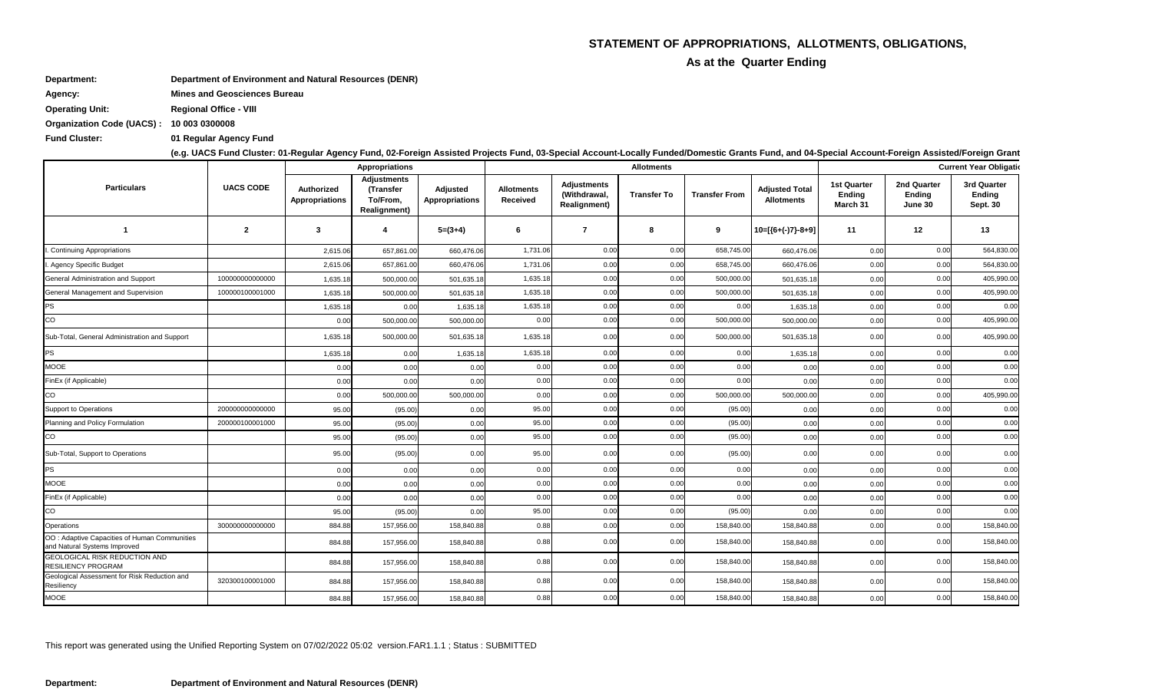## **STATEMENT OF APPROPRIATIONS, ALLOTMENTS, OBLIGATIONS,**

**As at the Quarter Ending** 

This report was generated using the Unified Reporting System on 07/02/2022 05:02 version.FAR1.1.1 ; Status : SUBMITTED

|  | ınt-Foreign Assisted/Foreign Grant |  |
|--|------------------------------------|--|
|--|------------------------------------|--|

|                                                                              |                  |                                     | <b>Appropriations</b>                                              |                                          |                               |                                                           | <b>Allotments</b>  |                      |                                            | <b>Current Year Obligation</b>                  |                                         |                                          |  |
|------------------------------------------------------------------------------|------------------|-------------------------------------|--------------------------------------------------------------------|------------------------------------------|-------------------------------|-----------------------------------------------------------|--------------------|----------------------|--------------------------------------------|-------------------------------------------------|-----------------------------------------|------------------------------------------|--|
| <b>Particulars</b>                                                           | <b>UACS CODE</b> | Authorized<br><b>Appropriations</b> | <b>Adjustments</b><br>(Transfer<br>To/From,<br><b>Realignment)</b> | <b>Adjusted</b><br><b>Appropriations</b> | <b>Allotments</b><br>Received | <b>Adjustments</b><br>(Withdrawal,<br><b>Realignment)</b> | <b>Transfer To</b> | <b>Transfer From</b> | <b>Adjusted Total</b><br><b>Allotments</b> | <b>1st Quarter</b><br><b>Ending</b><br>March 31 | 2nd Quarter<br><b>Ending</b><br>June 30 | 3rd Quarter<br>Ending<br><b>Sept. 30</b> |  |
| -1                                                                           | $\mathbf{2}$     | $\mathbf{3}$                        | 4                                                                  | $5=(3+4)$                                | 6                             | 7                                                         | 8                  | 9                    | 10=[{6+(-)7}-8+9]                          | 11                                              | 12                                      | 13                                       |  |
| <b>Continuing Appropriations</b>                                             |                  | 2,615.06                            | 657,861.00                                                         | 660,476.06                               | 1,731.06                      | 0.00                                                      | 0.00               | 658,745.00           | 660,476.06                                 | 0.00                                            | 0.00                                    | 564,830.00                               |  |
| . Agency Specific Budget                                                     |                  | 2,615.06                            | 657,861.00                                                         | 660,476.06                               | 1,731.06                      | 0.00                                                      | 0.00               | 658,745.00           | 660,476.06                                 | 0.00                                            | 0.00                                    | 564,830.00                               |  |
| General Administration and Support                                           | 100000000000000  | 1,635.18                            | 500,000.0                                                          | 501,635.18                               | 1,635.18                      | 0.00                                                      | 0.00               | 500,000.00           | 501,635.18                                 | 0.00                                            | 0.00                                    | 405,990.00                               |  |
| General Management and Supervision                                           | 100000100001000  | 1,635.18                            | 500,000.00                                                         | 501,635.18                               | 1,635.18                      | 0.00                                                      | 0.00               | 500,000.00           | 501,635.18                                 | 0.00                                            | 0.00                                    | 405,990.00                               |  |
| PS                                                                           |                  | 1,635.18                            | 0.00                                                               | 1,635.18                                 | 1,635.18                      | 0.00                                                      | 0.00               | 0.00                 | 1,635.1                                    | 0.00                                            | 0.00                                    | 0.00                                     |  |
| CO                                                                           |                  | 0.00                                | 500,000.00                                                         | 500,000.00                               | 0.00                          | 0.00                                                      | 0.00               | 500,000.00           | 500,000.00                                 | 0.00                                            | 0.00                                    | 405,990.00                               |  |
| Sub-Total, General Administration and Support                                |                  | 1,635.18                            | 500,000.00                                                         | 501,635.18                               | 1,635.18                      | 0.00                                                      | 0.00               | 500,000.00           | 501,635.18                                 | 0.00                                            | 0.00                                    | 405,990.00                               |  |
| <b>PS</b>                                                                    |                  | 1,635.18                            | 0.00                                                               | 1,635.18                                 | 1,635.18                      | 0.00                                                      | 0.00               | 0.00                 | 1,635.18                                   | 0.00                                            | 0.00                                    | 0.00                                     |  |
| <b>MOOE</b>                                                                  |                  | 0.00                                | 0.00                                                               | 0.00                                     | 0.00                          | 0.00                                                      | 0.00               | 0.00                 | 0.00                                       | 0.00                                            | 0.00                                    | 0.00                                     |  |
| FinEx (if Applicable)                                                        |                  | 0.00                                | 0.00                                                               | 0.00                                     | 0.00                          | 0.00                                                      | 0.00               | 0.00                 | 0.00                                       | 0.00                                            | 0.00                                    | 0.00                                     |  |
| CO                                                                           |                  | 0.00                                | 500,000.00                                                         | 500,000.00                               | 0.00                          | 0.00                                                      | 0.00               | 500,000.00           | 500,000.00                                 | 0.00                                            | 0.00                                    | 405,990.00                               |  |
| Support to Operations                                                        | 200000000000000  | 95.00                               | (95.00)                                                            | 0.00                                     | 95.00                         | 0.00                                                      | 0.00               | (95.00)              | 0.00                                       | 0.00                                            | 0.00                                    | 0.00                                     |  |
| Planning and Policy Formulation                                              | 200000100001000  | 95.00                               | (95.00)                                                            | 0.00                                     | 95.00                         | 0.00                                                      | 0.00               | (95.00)              | 0.00                                       | 0.00                                            | 0.00                                    | 0.00                                     |  |
| CO                                                                           |                  | 95.00                               | (95.00)                                                            | 0.00                                     | 95.00                         | 0.00                                                      | 0.00               | (95.00)              | 0.00                                       | 0.00                                            | 0.00                                    | 0.00                                     |  |
| Sub-Total, Support to Operations                                             |                  | 95.00                               | (95.00)                                                            | 0.00                                     | 95.00                         | 0.00                                                      | 0.00               | (95.00)              | 0.00                                       | 0.00                                            | 0.00                                    | 0.00                                     |  |
| PS                                                                           |                  | 0.00                                | 0.00                                                               | 0.00                                     | 0.00                          | 0.00                                                      | 0.00               | 0.00                 | 0.00                                       | 0.00                                            | 0.00                                    | 0.00                                     |  |
| MOOE                                                                         |                  | 0.00                                | 0.00                                                               | 0.00                                     | 0.00                          | 0.00                                                      | 0.00               | 0.00                 | 0.00                                       | 0.00                                            | 0.00                                    | 0.00                                     |  |
| FinEx (if Applicable)                                                        |                  | 0.00                                | 0.00                                                               | 0.00                                     | 0.00                          | 0.00                                                      | 0.00               | 0.00                 | 0.00                                       | 0.00                                            | 0.00                                    | 0.00                                     |  |
| $\rm{co}$                                                                    |                  | 95.00                               | (95.00)                                                            | 0.00                                     | 95.00                         | 0.00                                                      | 0.00               | (95.00)              | 0.00                                       | 0.00                                            | 0.00                                    | 0.00                                     |  |
| Operations                                                                   | 300000000000000  | 884.88                              | 157,956.00                                                         | 158,840.88                               | 0.88                          | 0.00                                                      | 0.00               | 158,840.00           | 158,840.88                                 | 0.00                                            | 0.00                                    | 158,840.00                               |  |
| OO: Adaptive Capacities of Human Communities<br>and Natural Systems Improved |                  | 884.88                              | 157,956.00                                                         | 158,840.88                               | 0.88                          | 0.00                                                      | 0.00               | 158,840.00           | 158,840.88                                 | 0.00                                            | 0.00                                    | 158,840.00                               |  |
| GEOLOGICAL RISK REDUCTION AND<br><b>RESILIENCY PROGRAM</b>                   |                  | 884.88                              | 157,956.00                                                         | 158,840.88                               | 0.88                          | 0.00                                                      | 0.00               | 158,840.00           | 158,840.88                                 | 0.00                                            | 0.00                                    | 158,840.00                               |  |
| Geological Assessment for Risk Reduction and<br>Resiliency                   | 320300100001000  | 884.88                              | 157,956.00                                                         | 158,840.88                               | 0.88                          | 0.00                                                      | 0.00               | 158,840.00           | 158,840.88                                 | 0.00                                            | 0.00                                    | 158,840.00                               |  |
| MOOE                                                                         |                  | 884.88                              | 157,956.00                                                         | 158,840.88                               | 0.88                          | 0.00                                                      | 0.00               | 158,840.00           | 158,840.88                                 | 0.00                                            | 0.00                                    | 158,840.00                               |  |

**Agency: Mines and Geosciences Bureau**

**Department: Department of Environment and Natural Resources (DENR)**

**Operating Unit: Regional Office - VIII**

**Organization Code (UACS) : 10 003 0300008**

**Fund Cluster: 01 Regular Agency Fund**

**(e.g. UACS Fund Cluster: 01-Regular Agency Fund, 02-Foreign Assisted Projects Fund, 03-Special Account-Locally Funded/Domestic Grants Fund, and 04-Special Account-Foreign Assisted/Foreign Grants Fund)**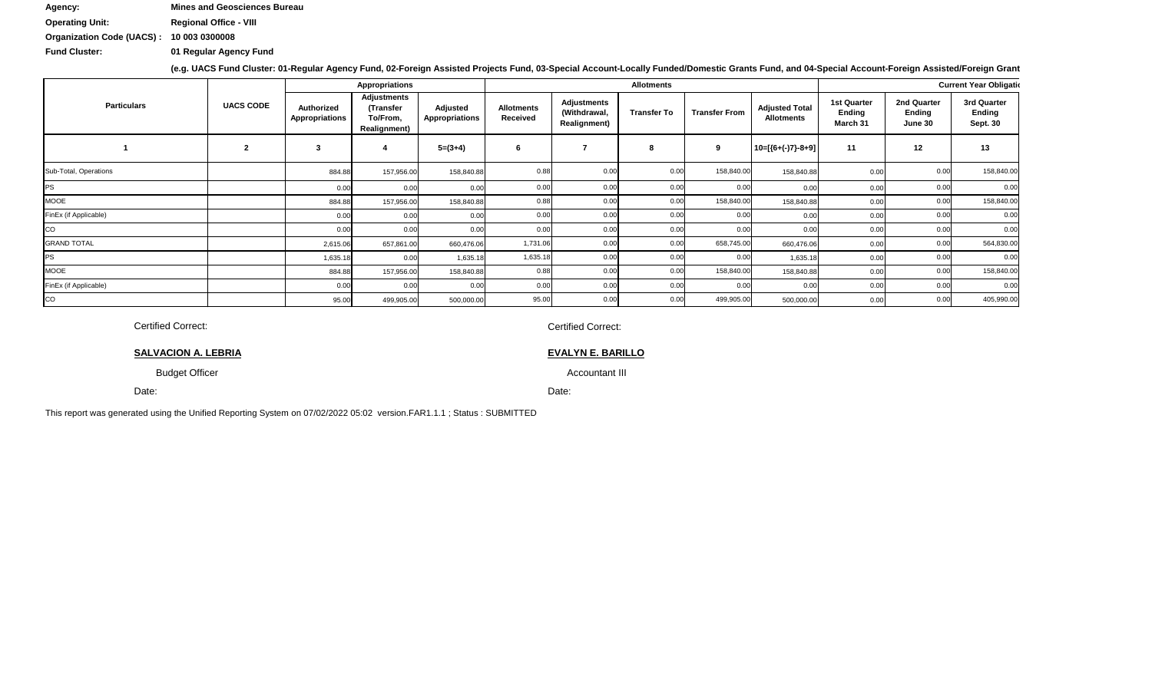Date:

This report was generated using the Unified Reporting System on 07/02/2022 05:02 version.FAR1.1.1 ; Status : SUBMITTED

Date: Date:

|                       |                  |                                     | <b>Appropriations</b>                                              |                                   |                               |                                                            | <b>Allotments</b>  |                      |                                            | <b>Current Year Obligation</b>           |                                         |                                                 |  |  |
|-----------------------|------------------|-------------------------------------|--------------------------------------------------------------------|-----------------------------------|-------------------------------|------------------------------------------------------------|--------------------|----------------------|--------------------------------------------|------------------------------------------|-----------------------------------------|-------------------------------------------------|--|--|
| <b>Particulars</b>    | <b>UACS CODE</b> | <b>Authorized</b><br>Appropriations | <b>Adjustments</b><br>(Transfer<br>To/From,<br><b>Realignment)</b> | Adjusted<br><b>Appropriations</b> | <b>Allotments</b><br>Received | <b>Adjustments</b><br>(Withdrawal,<br><b>Realignment</b> ) | <b>Transfer To</b> | <b>Transfer From</b> | <b>Adjusted Total</b><br><b>Allotments</b> | 1st Quarter<br><b>Ending</b><br>March 31 | 2nd Quarter<br><b>Ending</b><br>June 30 | 3rd Quarter<br><b>Ending</b><br><b>Sept. 30</b> |  |  |
|                       | $\overline{2}$   |                                     |                                                                    | $5=(3+4)$                         |                               |                                                            | 8                  | 9                    | $10=[(6+(-)7)-8+9]$                        | 11                                       | 12                                      | 13                                              |  |  |
| Sub-Total, Operations |                  | 884.88                              | 157,956.00                                                         | 158,840.88                        | 0.88                          | 0.00                                                       | 0.00               | 158,840.00           | 158,840.88                                 |                                          | 0.00                                    | 158,840.00                                      |  |  |
| PS                    |                  | 0.00                                | 0.00                                                               | 0.00                              | 0.00                          | 0.00                                                       | 0.00               | 0.00                 | 0.00                                       |                                          | 0.00                                    | 0.00                                            |  |  |
| MOOE                  |                  | 884.88                              | 157,956.00                                                         | 158,840.88                        | 0.88                          | 0.00                                                       | 0.00               | 158,840.00           | 158,840.88                                 |                                          | 0.00                                    | 158,840.00                                      |  |  |
| FinEx (if Applicable) |                  | 0.00                                | 0.00                                                               | 0.00                              | 0.00                          | 0.00                                                       | 0.00               | 0.00                 | 0.00                                       |                                          | 0.00                                    | 0.00                                            |  |  |
| CO                    |                  | 0.00                                | 0.00                                                               | 0.00                              | 0.00                          | 0.00                                                       | 0.00               | 0.00                 | 0.00                                       |                                          | 0.00                                    | 0.00                                            |  |  |
| <b>GRAND TOTAL</b>    |                  | 2,615.06                            | 657,861.00                                                         | 660,476.06                        | 1,731.06                      | 0.00                                                       | 0.00               | 658,745.00           | 660,476.06                                 |                                          | 0.00                                    | 564,830.00                                      |  |  |
| PS                    |                  | 1,635.18                            | 0.00                                                               | 1,635.18                          | 1,635.18                      | 0.00                                                       | 0.00               | 0.00                 | 1,635.18                                   |                                          | 0.00                                    | 0.00                                            |  |  |
| <b>MOOE</b>           |                  | 884.88                              | 157,956.00                                                         | 158,840.88                        | 0.88                          | 0.00                                                       | 0.00               | 158,840.00           | 158,840.88                                 |                                          | 0.00                                    | 158,840.00                                      |  |  |
| FinEx (if Applicable) |                  | 0.00                                | 0.00                                                               | 0.00                              | 0.00                          | 0.00                                                       | 0.00               | 0.00                 | 0.00                                       |                                          | 0.00                                    | 0.00                                            |  |  |
| CO                    |                  | 95.00                               | 499,905.00                                                         | 500,000.00                        | 95.00                         | 0.00                                                       | 0.00               | 499,905.00           | 500,000.00                                 | 0.00                                     | 0.00                                    | 405,990.00                                      |  |  |

Certified Correct: Certified Correct:

**SALVACION A. LEBRIA EVALYN E. BARILLO EVALYN E. BARILLO MARCELINA CONTRACTO A LEGACION A. LEBRIA** 

Budget Officer Accountant III Chief, Finance and Accountant III Chief, Finance and Administrative Division Division Division Division Division Division Division Division Division Division Division Division Division Divisio

**Operating Unit: Regional Office - VIII Agency: Mines and Geosciences Bureau**

**Fund Cluster: 01 Regular Agency Fund**

**(e.g. UACS Fund Cluster: 01-Regular Agency Fund, 02-Foreign Assisted Projects Fund, 03-Special Account-Locally Funded/Domestic Grants Fund, and 04-Special Account-Foreign Assisted/Foreign Grants Fund)**

**Organization Code (UACS) : 10 003 0300008**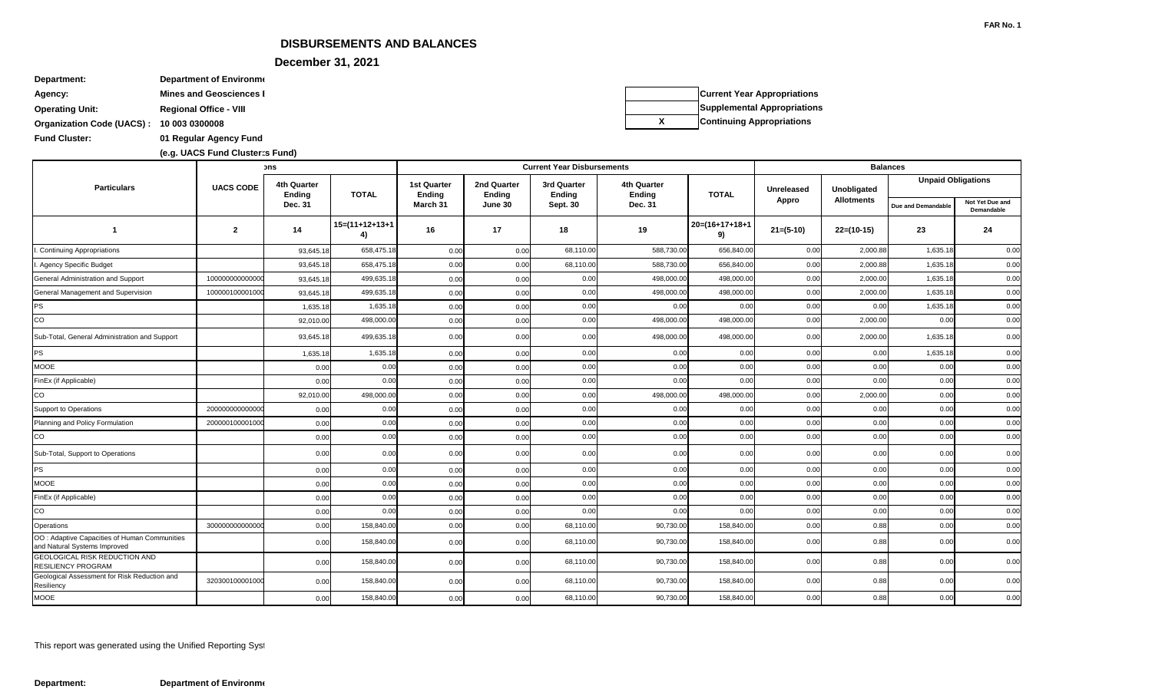### **DISBURSEMENTS AND BALANCES**

**December 31, 2021** 

| Department:                              | Department of Environme        |
|------------------------------------------|--------------------------------|
| Agency:                                  | <b>Mines and Geosciences I</b> |
| <b>Operating Unit:</b>                   | <b>Regional Office - VIII</b>  |
| Organization Code (UACS): 10 003 0300008 |                                |

**Fund Cluster: 01 Regular Agency Fund**

|                                                                               |                  | วทร                          |                         |                                     |                              | <b>Current Year Disbursements</b> |                                     |                         | <b>Balances</b> |                   |                    |                               |  |
|-------------------------------------------------------------------------------|------------------|------------------------------|-------------------------|-------------------------------------|------------------------------|-----------------------------------|-------------------------------------|-------------------------|-----------------|-------------------|--------------------|-------------------------------|--|
| <b>Particulars</b>                                                            | <b>UACS CODE</b> | 4th Quarter<br><b>Ending</b> | <b>TOTAL</b>            | <b>1st Quarter</b><br><b>Ending</b> | 2nd Quarter<br><b>Ending</b> | 3rd Quarter<br><b>Ending</b>      | <b>4th Quarter</b><br><b>Ending</b> | <b>TOTAL</b>            | Unreleased      | Unobligated       |                    | <b>Unpaid Obligations</b>     |  |
|                                                                               |                  | Dec. 31                      |                         | March 31                            | June 30                      | <b>Sept. 30</b>                   | Dec. 31                             |                         | Appro           | <b>Allotments</b> | Due and Demandable | Not Yet Due and<br>Demandable |  |
| $\overline{\mathbf{1}}$                                                       | $\overline{2}$   | 14                           | $15=(11+12+13+1)$<br>4) | 16                                  | 17                           | 18                                | 19                                  | $20=(16+17+18+1)$<br>9) | $21=(5-10)$     | $22=(10-15)$      | 23                 | 24                            |  |
| <b>Continuing Appropriations</b>                                              |                  | 93,645.18                    | 658,475.18              | 0.00                                | 0.00                         | 68,110.00                         | 588,730.00                          | 656,840.00              | 0.00            | 2,000.88          | 1,635.18           | 0.00                          |  |
| . Agency Specific Budget                                                      |                  | 93,645.18                    | 658,475.18              | 0.00                                | 0.00                         | 68,110.00                         | 588,730.00                          | 656,840.00              | 0.00            | 2,000.88          | 1,635.18           | 0.00                          |  |
| <b>General Administration and Support</b>                                     | 10000000000000   | 93,645.18                    | 499,635.18              | 0.00                                | 0.00                         | 0.00                              | 498,000.00                          | 498,000.00              | 0.00            | 2,000.00          | 1,635.18           | 0.00                          |  |
| General Management and Supervision                                            | 10000010000100   | 93,645.18                    | 499,635.18              | 0.00                                | 0.00                         | 0.00                              | 498,000.00                          | 498,000.00              | 0.00            | 2,000.00          | 1,635.18           | 0.00                          |  |
| <b>PS</b>                                                                     |                  | 1,635.18                     | 1,635.18                | 0.00                                | 0.00                         | 0.00                              | 0.00                                | 0.00                    | 0.00            | 0.00              | 1,635.18           | 0.00                          |  |
| CO                                                                            |                  | 92,010.0                     | 498,000.00              | 0.00                                | 0.00                         | 0.00                              | 498,000.00                          | 498,000.00              | 0.00            | 2,000.00          | 0.00               | 0.00                          |  |
| Sub-Total, General Administration and Support                                 |                  | 93,645.18                    | 499,635.18              | 0.00                                | 0.00                         | 0.00                              | 498,000.00                          | 498,000.00              | 0.00            | 2,000.00          | 1,635.18           | 0.00                          |  |
| <b>PS</b>                                                                     |                  | 1,635.18                     | 1,635.18                | 0.00                                | 0.00                         | 0.00                              | 0.00                                | 0.00                    | 0.00            | 0.00              | 1,635.18           | 0.00                          |  |
| <b>MOOE</b>                                                                   |                  | 0.00                         | 0.00                    | 0.00                                | 0.00                         | 0.00                              | 0.00                                | 0.00                    | 0.00            | 0.00              | 0.00               | 0.00                          |  |
| FinEx (if Applicable)                                                         |                  | 0.00                         | 0.00                    | 0.00                                | 0.00                         | 0.00                              | 0.00                                | 0.00                    | 0.00            | 0.00              | 0.00               | 0.00                          |  |
| CO                                                                            |                  | 92,010.00                    | 498,000.00              | 0.00                                | 0.00                         | 0.00                              | 498,000.00                          | 498,000.00              | 0.00            | 2,000.00          | 0.00               | 0.00                          |  |
| Support to Operations                                                         | 20000000000000   | 0.00                         | 0.00                    | 0.00                                | 0.00                         | 0.00                              | 0.00                                | 0.00                    | 0.00            | 0.00              | 0.00               | 0.00                          |  |
| Planning and Policy Formulation                                               | 20000010000100   | 0.00                         | 0.00                    | 0.00                                | 0.00                         | 0.00                              | 0.00                                | 0.00                    | 0.00            | 0.00              | 0.00               | 0.00                          |  |
| CO                                                                            |                  | 0.00                         | 0.00                    | 0.00                                | 0.00                         | 0.00                              | 0.00                                | 0.00                    | 0.00            | 0.00              | 0.00               | 0.00                          |  |
| Sub-Total, Support to Operations                                              |                  | 0.00                         | 0.00                    | 0.00                                | 0.00                         | 0.00                              | 0.00                                | 0.00                    | 0.00            | 0.00              | 0.00               | 0.00                          |  |
| <b>PS</b>                                                                     |                  | 0.00                         | 0.00                    | 0.00                                | 0.00                         | 0.00                              | 0.00                                | 0.00                    | 0.00            | 0.00              | 0.00               | 0.00                          |  |
| <b>MOOE</b>                                                                   |                  | 0.00                         | 0.00                    | 0.00                                | 0.00                         | 0.00                              | 0.00                                | 0.00                    | 0.00            | 0.00              | 0.00               | 0.00                          |  |
| FinEx (if Applicable)                                                         |                  | 0.00                         | 0.00                    | 0.00                                | 0.00                         | 0.00                              | 0.00                                | 0.00                    | 0.00            | 0.00              | 0.00               | 0.00                          |  |
| CO                                                                            |                  | 0.00                         | 0.00                    | 0.00                                | 0.00                         | 0.00                              | 0.00                                | 0.00                    | 0.00            | 0.00              | 0.00               | 0.00                          |  |
| Operations                                                                    | 300000000000000  | 0.00                         | 158,840.00              | 0.00                                | 0.00                         | 68,110.00                         | 90,730.00                           | 158,840.00              | 0.00            | 0.88              | 0.00               | 0.00                          |  |
| OO : Adaptive Capacities of Human Communities<br>and Natural Systems Improved |                  | 0.00                         | 158,840.00              | 0.00                                | 0.00                         | 68,110.00                         | 90,730.00                           | 158,840.00              | 0.00            | 0.88              | 0.00               | 0.00                          |  |
| GEOLOGICAL RISK REDUCTION AND<br><b>RESILIENCY PROGRAM</b>                    |                  | 0.00                         | 158,840.00              | 0.00                                | 0.00                         | 68,110.00                         | 90,730.00                           | 158,840.00              | 0.00            | 0.88              | 0.00               | 0.00                          |  |
| Geological Assessment for Risk Reduction and<br>Resiliency                    | 32030010000100   | 0.00                         | 158,840.00              | 0.00                                | 0.00                         | 68,110.00                         | 90,730.00                           | 158,840.00              | 0.00            | 0.88              | 0.00               | 0.00                          |  |
| <b>MOOE</b>                                                                   |                  | 0.00                         | 158,840.00              | 0.00                                | 0.00                         | 68,110.00                         | 90,730.00                           | 158,840.00              | 0.00            | 0.88              | 0.00               | 0.00                          |  |

This report was generated using the Unified Reporting Syst

**Department: Department of Environment** 

**(e.g. UACS Fund Cluster: 01-Regular Agency Fund, 02-Foreign Assisted Projects Fund, 03-Special Account-Locally Funded/Domestic Grants Fund, and 04-Special Account-Foreign Assisted/Foreign Grants Fund) (e.g. UACS Fund Cluster: 01-Regular Agency Fund, 02-Foreign Assisted Projects Fund, 03-Special Account-Locally Funded/Domestic Grants Fund, and 04-Special Account-Foreign Assisted/Foreign Grants Fund)**

**Current Year Appropriations Supplemental Appropriations X Continuing Appropriations**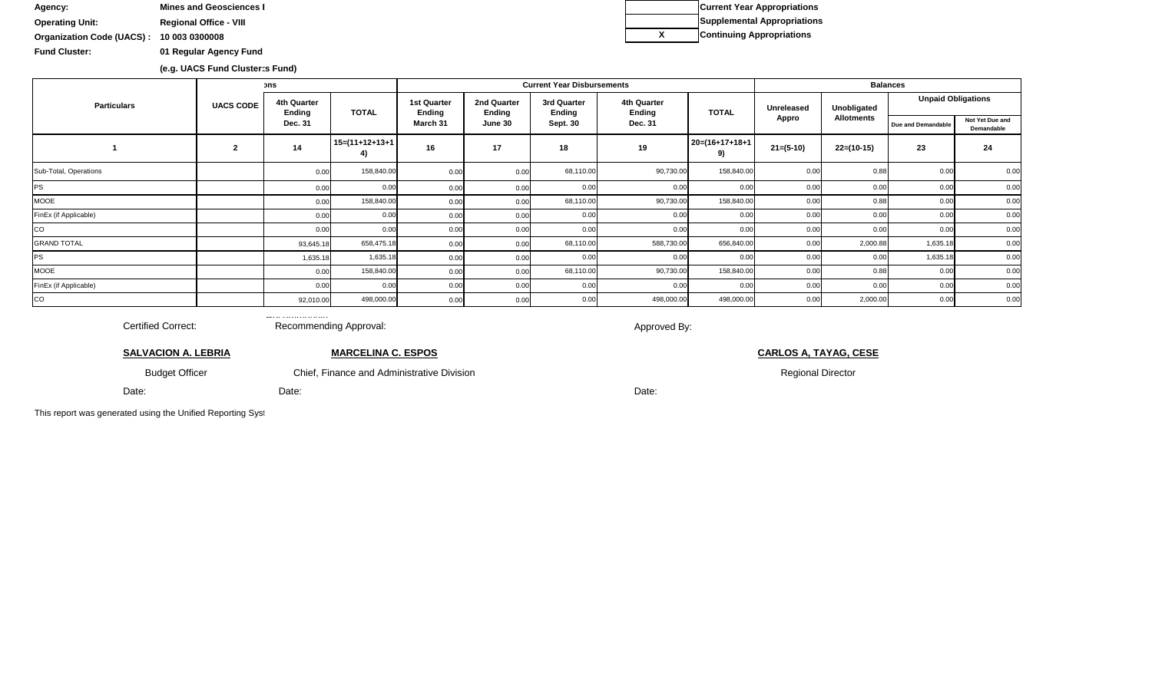Date:

Budget Officer

**SALVACION A. LEBRIA**

Certified Correct:

**Operating Unit: Regional Office - VIII** Agency: **Mines and Geosciences I** 

**Fund Cluster: 01 Regular Agency Fund**

**Organization Code (UACS) : 10 003 0300008**

Date:

Chief, Finance and Administrative Division **Regional Director** Regional Director

This report was generated using the Unified Reporting Syst

Date:

**MARCELINA C. ESPOS CARLOS A, TAYAG, CESE**

Approved By:

 $\equiv$  .  $\ldots$  .  $\ldots$  .  $\ldots$  .  $\ldots$  . Recommending Approval:

|                       |                  | วทร                          |                         |                                     |                              | <b>Current Year Disbursements</b> |                              |                         | <b>Balances</b>   |                   |                           |                               |  |
|-----------------------|------------------|------------------------------|-------------------------|-------------------------------------|------------------------------|-----------------------------------|------------------------------|-------------------------|-------------------|-------------------|---------------------------|-------------------------------|--|
| <b>Particulars</b>    | <b>UACS CODE</b> | 4th Quarter<br><b>Ending</b> | <b>TOTAL</b>            | <b>1st Quarter</b><br><b>Ending</b> | 2nd Quarter<br><b>Ending</b> | 3rd Quarter<br><b>Ending</b>      | 4th Quarter<br><b>Ending</b> | <b>TOTAL</b>            | <b>Unreleased</b> | Unobligated       | <b>Unpaid Obligations</b> |                               |  |
|                       |                  | Dec. 31                      |                         | March 31                            | June 30                      | <b>Sept. 30</b>                   | Dec. 31                      |                         | Appro             | <b>Allotments</b> | Due and Demandable        | Not Yet Due and<br>Demandable |  |
|                       |                  | 14                           | $15=(11+12+13+1)$<br>4) | 16                                  | 17                           | 18                                | 19                           | $20=(16+17+18+1)$<br>9) | $21=(5-10)$       | $22=(10-15)$      | 23                        | 24                            |  |
| Sub-Total, Operations |                  | 0.00                         | 158,840.00              | 0.00                                |                              | 68,110.00                         | 90,730.00                    | 158,840.00              | 0.00              | 0.88              | 0.00                      | 0.00                          |  |
| PS                    |                  | 0.00                         | 0.00                    | 0.00                                |                              | 0.00                              | 0.00                         | 0.00                    | 0.00              | 0.00              |                           | 0.00                          |  |
| <b>MOOE</b>           |                  | 0.00                         | 158,840.00              | 0.00                                |                              | 68,110.00                         | 90,730.00                    | 158,840.00              | 0.00              | 0.88              | 0.00                      | 0.00                          |  |
| FinEx (if Applicable) |                  | 0.00                         | 0.00                    | 0.00                                | 0.00                         | 0.00                              | 0.00                         | 0.00                    | 0.00              | 0.00              | 0.00                      | 0.00                          |  |
| CO                    |                  | 0.00                         | 0.00                    | 0.00                                |                              | 0.00                              | 0.00                         | 0.00                    | 0.00              | 0.00              | 0.00                      | 0.00                          |  |
| <b>GRAND TOTAL</b>    |                  | 93,645.18                    | 658,475.18              | 0.00                                | 0.00                         | 68,110.00                         | 588,730.00                   | 656,840.00              | 0.00              | 2,000.88          | 1,635.18                  | 0.00                          |  |
| <b>PS</b>             |                  | 1,635.18                     | 1,635.18                | 0.00                                |                              | 0.00                              | 0.00                         | 0.00                    | 0.00              | 0.00              | 1,635.18                  | 0.00                          |  |
| <b>MOOE</b>           |                  | 0.00                         | 158,840.00              | 0.00                                | 0.00                         | 68,110.00                         | 90,730.00                    | 158,840.00              | 0.00              | 0.88              | 0.00                      | 0.00                          |  |
| FinEx (if Applicable) |                  | 0.00                         | 0.00                    | 0.00                                |                              | 0.00                              | 0.00                         | 0.00                    | 0.00              | 0.00              | 0.00                      | 0.00                          |  |
| co                    |                  | 92,010.00                    | 498,000.00              | 0.00                                |                              | 0.00                              | 498,000.00                   | 498,000.00              | 0.00              | 2,000.00          | 0.00                      | 0.00                          |  |

**(e.g. UACS Fund Cluster: 01-Regular Agency Fund, 02-Foreign Assisted Projects Fund, 03-Special Account-Locally Funded/Domestic Grants Fund, and 04-Special Account-Foreign Assisted/Foreign Grants Fund) (e.g. UACS Fund Cluster: 01-Regular Agency Fund, 02-Foreign Assisted Projects Fund, 03-Special Account-Locally Funded/Domestic Grants Fund, and 04-Special Account-Foreign Assisted/Foreign Grants Fund)**

**Current Year Appropriations Supplemental Appropriations X Continuing Appropriations**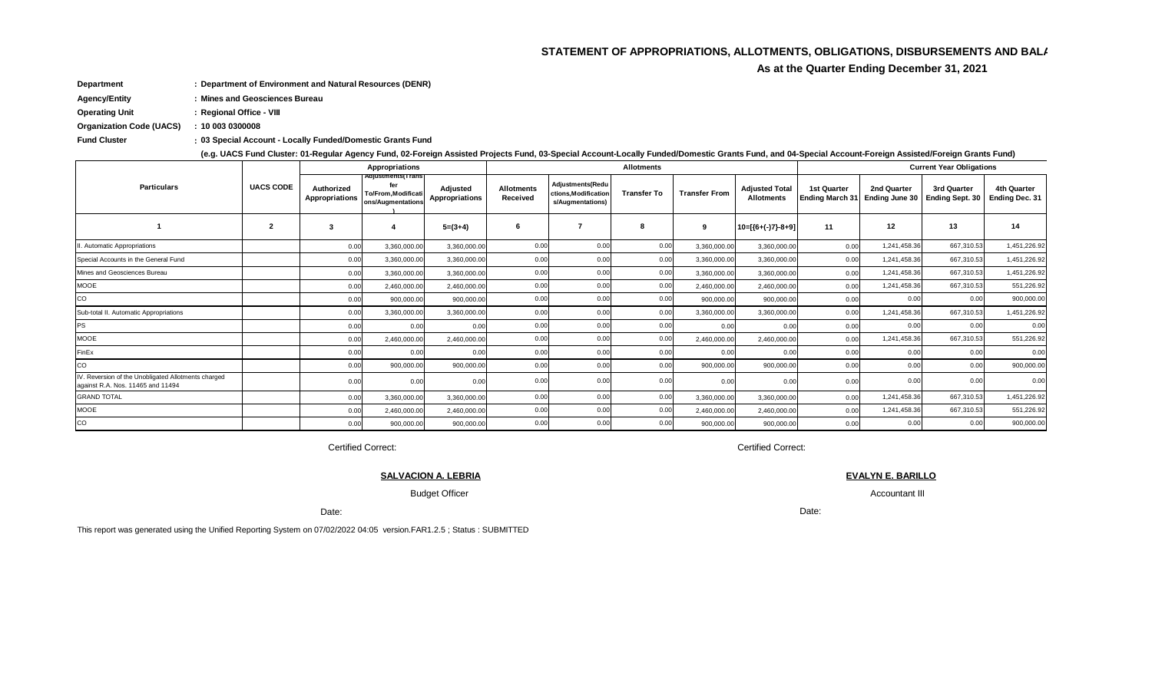#### STATEMENT OF APPROPRIATIONS, ALLOTMENTS, OBLIGATIONS, DISBURSEMENTS AND BAL/

As at the Quarter Ending December 31, 2021

Department : Department of Environment and Natural Resources (DENR)

**Agency/Entity** : Mines and Geosciences Bureau

**Operating Unit** : Regional Office - VIII

**Organization Code (UACS)**  $: 100030300008$ 

**Fund Cluster** : 03 Special Account - Locally Funded/Domestic Grants Fund

(e.g. UACS Fund Cluster: 01-Regular Agency Fund, 02-Foreign Assisted Projects Fund, 03-Special Account-Locally Funded/Domestic Grants Fund, and 04-Special Account-Foreign Assisted/Foreign Grants Fund)

|                                                                                          |                  |                              | Appropriations                                                      |                            |                               |                                                               | <b>Allotments</b>  |                      |                                            | <b>Current Year Obligations</b>       |                               |                                       |                                      |  |
|------------------------------------------------------------------------------------------|------------------|------------------------------|---------------------------------------------------------------------|----------------------------|-------------------------------|---------------------------------------------------------------|--------------------|----------------------|--------------------------------------------|---------------------------------------|-------------------------------|---------------------------------------|--------------------------------------|--|
| <b>Particulars</b>                                                                       | <b>UACS CODE</b> | Authorized<br>Appropriations | Adjustments(Trans<br>fer<br>To/From.Modificati<br>ons/Augmentations | Adjusted<br>Appropriations | <b>Allotments</b><br>Received | Adiustments (Redu<br>ctions, Modification<br>s/Augmentations) | <b>Transfer To</b> | <b>Transfer From</b> | <b>Adjusted Total</b><br><b>Allotments</b> | <b>1st Quarter</b><br>Ending March 31 | 2nd Quarter<br>Ending June 30 | 3rd Quarter<br><b>Ending Sept. 30</b> | <b>4th Quarter</b><br>Ending Dec. 31 |  |
|                                                                                          | 2                | 3                            | 4                                                                   | $5=(3+4)$                  | 6                             |                                                               | 8                  | 9                    | $10=[(6+(-7)-8+9)]$                        | 11                                    | 12                            | 13                                    | 14                                   |  |
| II. Automatic Appropriations                                                             |                  | 0.00                         | 3,360,000.00                                                        | 3,360,000.00               | 0.00                          | 0.00                                                          | 0.00               | 3,360,000.00         | 3,360,000.00                               | 0.00                                  | 1,241,458.36                  | 667,310.53                            | 1,451,226.92                         |  |
| Special Accounts in the General Fund                                                     |                  | 0.00                         | 3,360,000.00                                                        | 3,360,000.00               | 0.00                          | 0.00                                                          | 0.00               | 3,360,000.00         | 3,360,000.00                               | 0.00                                  | 1,241,458.36                  | 667,310.53                            | 1,451,226.92                         |  |
| Mines and Geosciences Bureau                                                             |                  | 0.00                         | 3,360,000.00                                                        | 3,360,000.0                | 0.00                          | 0.00                                                          | 0.00               | 3,360,000.00         | 3,360,000.00                               | 0.00                                  | 1,241,458.36                  | 667,310.53                            | 1,451,226.92                         |  |
| <b>MOOE</b>                                                                              |                  | 0.00                         | 2,460,000.00                                                        | 2,460,000.00               | 0.00                          | 0.00                                                          | 0.00               | 2,460,000.00         | 2,460,000.00                               | 0.00                                  | 1,241,458.36                  | 667,310.53                            | 551,226.92                           |  |
| CO                                                                                       |                  | 0.00                         | 900,000.00                                                          | 900,000.00                 | 0.00                          | 0.00                                                          | 0.00               | 900,000.00           | 900,000.00                                 | 0.00                                  | 0.00                          | 0.00                                  | 900,000.00                           |  |
| Sub-total II. Automatic Appropriations                                                   |                  | 0.00                         | 3,360,000.00                                                        | 3,360,000.0                | 0.00                          | 0.00                                                          | 0.00               | 3,360,000.00         | 3,360,000.00                               | 0.00                                  | 1,241,458.36                  | 667,310.53                            | 1,451,226.92                         |  |
| <b>PS</b>                                                                                |                  | 0.00                         | 0.00                                                                | 0.00                       | 0.00                          | 0.0(                                                          | 0.00               | 0.00                 | 0.00                                       | 0.00                                  | 0.00                          | 0.00                                  | 0.00                                 |  |
| <b>MOOE</b>                                                                              |                  | 0.00                         | 2,460,000.00                                                        | 2,460,000.00               | 0.00                          | 0.00                                                          | 0.00               | 2,460,000.00         | 2,460,000.00                               | 0.00                                  | 1,241,458.36                  | 667,310.53                            | 551,226.92                           |  |
| FinEx                                                                                    |                  | 0.00                         | 0.00                                                                | 0.00                       | 0.00                          | 0.00                                                          | 0.00               | 0.00                 | 0.00                                       | 0.00                                  | 0.00                          | 0.00                                  | 0.00                                 |  |
| CO                                                                                       |                  | 0.00                         | 900,000.00                                                          | 900,000.00                 | 0.00                          | 0.00                                                          | 0.00               | 900,000.00           | 900,000.00                                 | 0.00                                  | 0.00                          | 0.00                                  | 900,000.00                           |  |
| IV. Reversion of the Unobligated Allotments charged<br>against R.A. Nos. 11465 and 11494 |                  | 0.00                         | 0.00                                                                | 0.00                       | 0.00                          | 0.00                                                          | 0.00               | 0.00                 | 0.00                                       | 0.00                                  | 0.00                          | 0.00                                  | 0.00                                 |  |
| <b>GRAND TOTAL</b>                                                                       |                  | 0.00                         | 3,360,000.00                                                        | 3,360,000.0                | 0.00                          | 0.0(                                                          | 0.00               | 3,360,000.00         | 3,360,000.00                               | 0.00                                  | 1,241,458.36                  | 667,310.53                            | 1,451,226.92                         |  |
| <b>MOOE</b>                                                                              |                  | 0.00                         | 2,460,000.00                                                        | 2,460,000.00               | 0.00                          | 0.0(                                                          | 0.00               | 2,460,000.00         | 2,460,000.00                               | 0.00                                  | 1,241,458.36                  | 667,310.53                            | 551,226.92                           |  |
| CO                                                                                       |                  | 0.00                         | 900,000.00                                                          | 900,000.00                 | 0.00                          | 0.00                                                          | 0.00               | 900,000.00           | 900,000.00                                 | 0.00                                  | 0.00                          | 0.00                                  | 900,000.00                           |  |

**Certified Correct:** 

**SALVACION A. LEBRIA** 

**Budget Officer** 

Date:

This report was generated using the Unified Reporting System on 07/02/2022 04:05 version.FAR1.2.5; Status: SUBMITTED

**Certified Correct:** 

**EVALYN E. BARILLO** Accountant III

Date: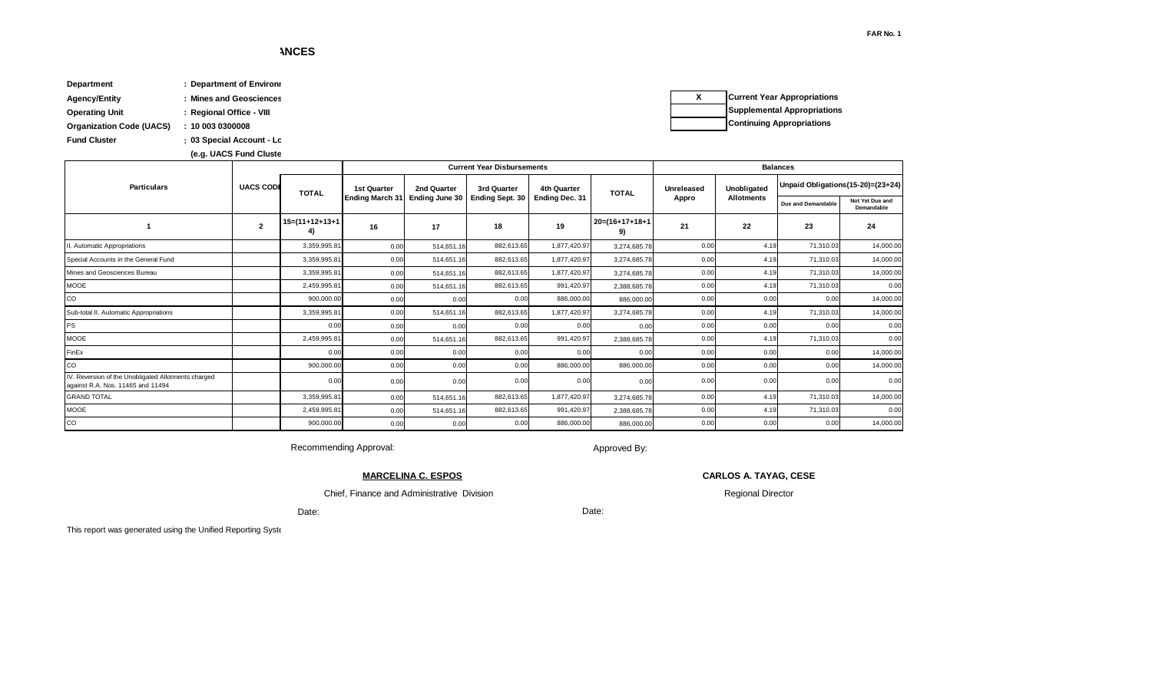| <b>Department</b>               | <b>Department of Environi</b> |                          |                      |
|---------------------------------|-------------------------------|--------------------------|----------------------|
| Agency/Entity                   | <b>Mines and Geosciences</b>  | $\overline{\phantom{a}}$ | <b>Current Year</b>  |
| Operating Unit                  | <b>Regional Office - VIII</b> |                          | Supplementa          |
| <b>Organization Code (UACS)</b> | 10 003 0300008                |                          | <b>Continuing Ap</b> |
| <b>Fund Cluster</b>             | : 03 Special Account - Lc     |                          |                      |

(e.g. UACS Fund Cluste **(e.g. UACS Fund Cluster: 01-Regular Agency Fund, 02-Foreign Assisted Projects Fund, 03-Special Account-Locally Funded/Domestic Grants Fund, and 04-Special Account-Foreign Assisted/Foreign Grants Fund)**

| <b>Current Year Appropriations</b> |
|------------------------------------|
| <b>Supplemental Appropriations</b> |
| <b>Continuing Appropriations</b>   |

|                                                                                          |                  |                         |                        |                | <b>Current Year Disbursements</b> |                |                      | <b>Balances</b> |             |                    |                                   |  |
|------------------------------------------------------------------------------------------|------------------|-------------------------|------------------------|----------------|-----------------------------------|----------------|----------------------|-----------------|-------------|--------------------|-----------------------------------|--|
| <b>Particulars</b>                                                                       | <b>UACS CODE</b> | <b>TOTAL</b>            | <b>1st Quarter</b>     | 2nd Quarter    | 3rd Quarter                       | 4th Quarter    | <b>TOTAL</b>         | Unreleased      | Unobligated |                    | Unpaid Obligations(15-20)=(23+24) |  |
|                                                                                          |                  |                         | <b>Ending March 31</b> | Ending June 30 | <b>Ending Sept. 30</b>            | Ending Dec. 31 |                      | Appro           | Allotments  | Due and Demandable | Not Yet Due and<br>Demandable     |  |
|                                                                                          | $\overline{2}$   | $15=(11+12+13+1)$<br>4) | 16                     | 17             | 18                                | 19             | 20=(16+17+18+1<br>9) | 21              | 22          | 23                 | 24                                |  |
| II. Automatic Appropriations                                                             |                  | 3,359,995.81            | 0.00                   | 514,651.16     | 882,613.65                        | 1,877,420.97   | 3,274,685.78         | 0.00            | 4.19        | 71,310.03          | 14,000.00                         |  |
| Special Accounts in the General Fund                                                     |                  | 3,359,995.81            | 0.00                   | 514,651.16     | 882,613.65                        | 1,877,420.97   | 3,274,685.78         | 0.00            | 4.19        | 71,310.03          | 14,000.00                         |  |
| Mines and Geosciences Bureau                                                             |                  | 3.359.995.81            | 0.00                   | 514,651.16     | 882,613.65                        | 1,877,420.97   | 3,274,685.78         | 0.00            | 4.19        | 71.310.03          | 14,000.00                         |  |
| <b>MOOE</b>                                                                              |                  | 2,459,995.81            | 0.00                   | 514,651.16     | 882,613.65                        | 991,420.97     | 2,388,685.78         | 0.00            | 4.19        | 71,310.03          | 0.00                              |  |
| CO                                                                                       |                  | 900,000.00              | 0.00                   | 0.00           | 0.00                              | 886,000.00     | 886,000.00           | 0.00            | 0.00        | 0.00               | 14,000.00                         |  |
| Sub-total II. Automatic Appropriations                                                   |                  | 3,359,995.81            | 0.00                   | 514,651.16     | 882,613.65                        | 1,877,420.97   | 3,274,685.78         | 0.00            | 4.19        | 71,310.03          | 14,000.00                         |  |
| PS                                                                                       |                  | 0.00                    | 0.00                   | 0.00           | 0.00                              | 0.00           | 0.00                 | 0.00            | 0.00        | 0.00               | 0.00                              |  |
| <b>MOOE</b>                                                                              |                  | 2,459,995.81            | 0.00                   | 514,651.16     | 882.613.65                        | 991,420.97     | 2,388,685.78         | 0.00            | 4.19        | 71,310.03          | 0.00                              |  |
| FinEx                                                                                    |                  | 0.00                    | 0.00                   | 0.00           | 0.00                              | 0.00           | 0.00                 | 0.00            | 0.00        | 0.00               | 14,000.00                         |  |
| CO                                                                                       |                  | 900,000.00              | 0.00                   | 0.00           | 0.00                              | 886,000.00     | 886,000.00           | 0.00            | 0.00        | 0.00               | 14,000.00                         |  |
| IV. Reversion of the Unobligated Allotments charged<br>against R.A. Nos. 11465 and 11494 |                  | 0.00                    | 0.00                   | 0.00           | 0.00                              | 0.00           | 0.00                 | 0.00            | 0.00        | 0.00               | 0.00                              |  |
| <b>GRAND TOTAL</b>                                                                       |                  | 3.359.995.81            | 0.00                   | 514,651.16     | 882.613.65                        | 1,877,420.97   | 3,274,685.78         | 0.00            | 4.19        | 71.310.03          | 14,000.00                         |  |
| <b>MOOE</b>                                                                              |                  | 2,459,995.81            | 0.00                   | 514,651.16     | 882,613.65                        | 991,420.97     | 2,388,685.78         | 0.00            | 4.19        | 71,310.03          | 0.00                              |  |
| CO                                                                                       |                  | 900,000.00              | 0.00                   | 0.00           | 0.00                              | 886,000.00     | 886,000.00           | 0.00            | 0.00        | 0.00               | 14,000.00                         |  |

Recommending Approval:

 Chief, Finance and Administrative Division **MARCELINA C. ESPOS**

Approved By:

Date:

**CARLOS A. TAYAG, CESE**

Regional Director

Date:

This report was generated using the Unified Reporting Syste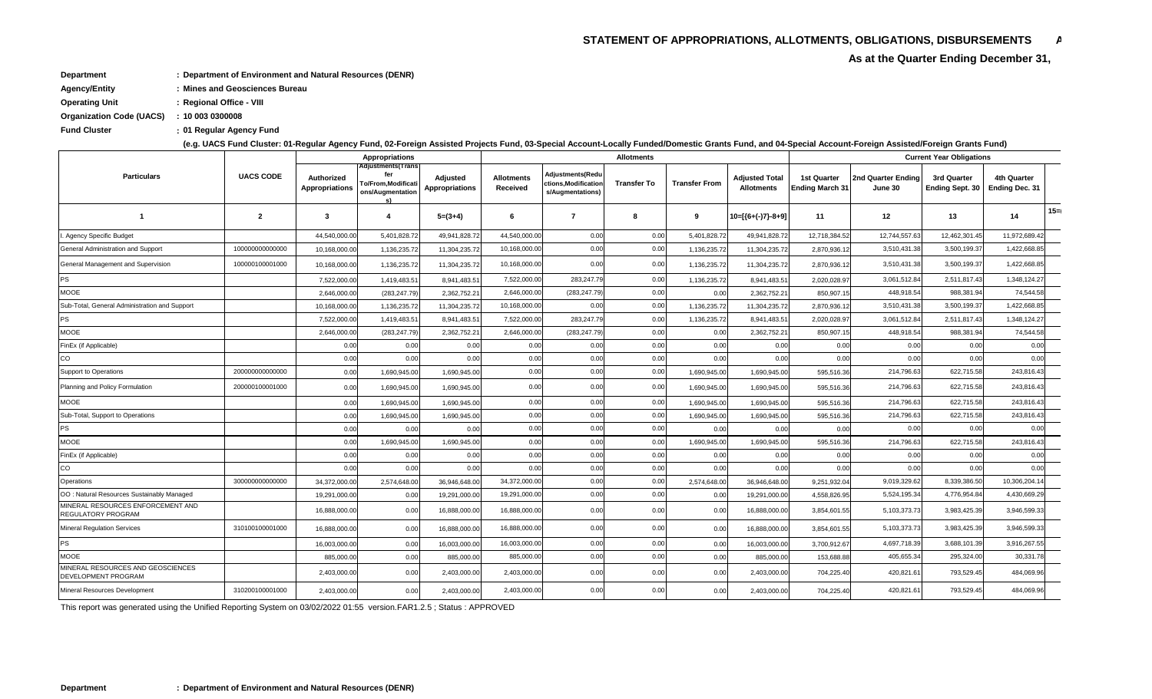# STATEMENT OF APPROPRIATIONS, ALLOTMENTS, OBLIGATIONS, DISBURSEMENTS 4 As at the Quarter Ending December 31,

- **Department : Department of Environment and Natural Resources (DENR)**
- **Agency/Entity : Mines and Geosciences Bureau**
- **Operating Unit : Regional Office VIII**
- **Organization Code (UACS) : 10 003 0300008**
- **: Fund Cluster 01 Regular Agency Fund**

**(e.g. UACS Fund Cluster: 01-Regular Agency Fund, 02-Foreign Assisted Projects Fund, 03-Special Account-Locally Funded/Domestic Grants Fund, and 04-Special Account-Foreign Assisted/Foreign Grants Fund)**

|                                                                |                  |                              | <b>Appropriations</b>                                                            |                            |                               |                                                             | <b>Allotments</b>  |                      |                                     | <b>Current Year Obligations</b>              |                               |                                       |                                      |        |
|----------------------------------------------------------------|------------------|------------------------------|----------------------------------------------------------------------------------|----------------------------|-------------------------------|-------------------------------------------------------------|--------------------|----------------------|-------------------------------------|----------------------------------------------|-------------------------------|---------------------------------------|--------------------------------------|--------|
| <b>Particulars</b>                                             | <b>UACS CODE</b> | Authorized<br>Appropriations | <b>Adjustments</b> (Trans<br><b>To/From,Modificati</b><br>ons/Augmentation<br>s) | Adjusted<br>Appropriations | <b>Allotments</b><br>Received | Adjustments(Redu<br>ctions,Modification<br>s/Augmentations) | <b>Transfer To</b> | <b>Transfer From</b> | Adjusted Total<br><b>Allotments</b> | <b>1st Quarter</b><br><b>Ending March 31</b> | 2nd Quarter Ending<br>June 30 | 3rd Quarter<br><b>Ending Sept. 30</b> | 4th Quarter<br><b>Ending Dec. 31</b> |        |
| -1                                                             | $\mathbf{2}$     | $\overline{\mathbf{3}}$      | $\overline{4}$                                                                   | $5=(3+4)$                  | 6                             | $\overline{7}$                                              | -8                 | 9                    | 10=[{6+(-)7}-8+9]                   | 11                                           | 12                            | 13                                    | 14                                   | $15 =$ |
| I. Agency Specific Budget                                      |                  | 44,540,000.0                 | 5,401,828.72                                                                     | 49,941,828.7               | 44,540,000.00                 | 0.00                                                        | 0.00               | 5,401,828.72         | 49,941,828.7                        | 12,718,384.52                                | 12,744,557.63                 | 12,462,301.45                         | 11,972,689.42                        |        |
| General Administration and Support                             | 10000000000000   | 10,168,000.0                 | 1,136,235.72                                                                     | 11,304,235.7               | 10,168,000.00                 | 0.00                                                        | 0.00               | 1,136,235.7          | 11,304,235.7                        | 2,870,936.1                                  | 3,510,431.38                  | 3,500,199.3                           | 1,422,668.85                         |        |
| General Management and Supervision                             | 100000100001000  | 10,168,000.0                 | 1,136,235.72                                                                     | 11,304,235.72              | 10,168,000.00                 | 0.00                                                        | 0.00               | 1,136,235.72         | 11,304,235.72                       | 2,870,936.12                                 | 3,510,431.38                  | 3,500,199.37                          | 1,422,668.85                         |        |
| PS                                                             |                  | 7,522,000.0                  | 1,419,483.51                                                                     | 8,941,483.5                | 7,522,000.00                  | 283,247.79                                                  | 0.00               | 1,136,235.72         | 8,941,483.5                         | 2,020,028.9                                  | 3,061,512.84                  | 2,511,817.43                          | 1,348,124.27                         |        |
| <b>MOOE</b>                                                    |                  | 2,646,000.0                  | (283, 247.79)                                                                    | 2,362,752.2                | 2,646,000.00                  | (283, 247.79)                                               | 0.00               | 0.00                 | 2,362,752.2                         | 850,907.1                                    | 448,918.54                    | 988,381.94                            | 74,544.58                            |        |
| Sub-Total, General Administration and Support                  |                  | 10,168,000.0                 | 1,136,235.72                                                                     | 11,304,235.7               | 10,168,000.00                 | 0.00                                                        | 0.00               | 1,136,235.72         | 11,304,235.7                        | 2,870,936.1                                  | 3,510,431.38                  | 3,500,199.3                           | 1,422,668.85                         |        |
| <b>PS</b>                                                      |                  | 7,522,000.0                  | 1,419,483.51                                                                     | 8,941,483.5                | 7,522,000.00                  | 283,247.79                                                  | 0.00               | 1,136,235.72         | 8,941,483.5                         | 2,020,028.97                                 | 3,061,512.84                  | 2,511,817.43                          | 1,348,124.27                         |        |
| MOOE                                                           |                  | 2,646,000.0                  | (283, 247.79)                                                                    | 2,362,752.2                | 2,646,000.00                  | (283, 247.79)                                               | 0.00               | 0.00                 | 2,362,752.2                         | 850,907.1                                    | 448,918.54                    | 988,381.94                            | 74,544.58                            |        |
| FinEx (if Applicable)                                          |                  | 0.00                         | 0.00                                                                             | 0.00                       | 0.00                          | 0.00                                                        | 0.00               | 0.00                 | 0.00                                | 0.00                                         | 0.00                          | 0.00                                  | 0.00                                 |        |
| CO                                                             |                  | 0.00                         | 0.00                                                                             | 0.00                       | 0.00                          | 0.00                                                        | 0.00               | 0.00                 | 0.00                                | 0.00                                         | 0.00                          | 0.00                                  | 0.00                                 |        |
| Support to Operations                                          | 20000000000000   | 0.00                         | 1,690,945.00                                                                     | 1,690,945.00               | 0.00                          | 0.00                                                        | 0.00               | 1,690,945.00         | 1,690,945.00                        | 595,516.36                                   | 214,796.63                    | 622,715.58                            | 243,816.43                           |        |
| Planning and Policy Formulation                                | 200000100001000  | 0.00                         | 1,690,945.00                                                                     | 1,690,945.00               | 0.00                          | 0.00                                                        | 0.00               | 1,690,945.00         | 1,690,945.00                        | 595,516.36                                   | 214,796.63                    | 622,715.58                            | 243,816.43                           |        |
| <b>MOOE</b>                                                    |                  | 0.00                         | 1,690,945.00                                                                     | 1,690,945.00               | 0.00                          | 0.00                                                        | 0.00               | 1,690,945.00         | 1,690,945.00                        | 595,516.36                                   | 214,796.63                    | 622,715.58                            | 243,816.43                           |        |
| Sub-Total, Support to Operations                               |                  | 0.00                         | 1,690,945.00                                                                     | 1,690,945.00               | 0.00                          | 0.00                                                        | 0.00               | 1,690,945.00         | 1,690,945.00                        | 595,516.36                                   | 214,796.63                    | 622,715.58                            | 243,816.43                           |        |
| <b>PS</b>                                                      |                  | 0.00                         | 0.00                                                                             | 0.00                       | 0.00                          | 0.00                                                        | 0.00               | 0.00                 | 0.00                                | 0.00                                         | 0.00                          | 0.00                                  | 0.00                                 |        |
| MOOE                                                           |                  | 0.00                         | 1,690,945.00                                                                     | 1,690,945.00               | 0.00                          | 0.00                                                        | 0.00               | 1,690,945.00         | 1,690,945.00                        | 595,516.36                                   | 214,796.63                    | 622,715.58                            | 243,816.43                           |        |
| FinEx (if Applicable)                                          |                  | 0.00                         | 0.00                                                                             | 0.00                       | 0.00                          | 0.00                                                        | 0.00               | 0.00                 | 0.00                                | 0.00                                         | 0.00                          | 0.00                                  | 0.00                                 |        |
| CO                                                             |                  | 0.00                         | 0.00                                                                             | 0.00                       | 0.00                          | 0.00                                                        | 0.00               | 0.00                 | 0.00                                | 0.00                                         | 0.00                          | 0.00                                  | 0.00                                 |        |
| Operations                                                     | 300000000000000  | 34,372,000.0                 | 2,574,648.00                                                                     | 36,946,648.00              | 34,372,000.00                 | 0.00                                                        | 0.00               | 2,574,648.00         | 36,946,648.00                       | 9,251,932.04                                 | 9,019,329.62                  | 8,339,386.50                          | 10,306,204.14                        |        |
| OO: Natural Resources Sustainably Managed                      |                  | 19,291,000.0                 | 0.00                                                                             | 19,291,000.0               | 19,291,000.00                 | 0.00                                                        | 0.00               | 0.00                 | 19,291,000.0                        | 4,558,826.9                                  | 5,524,195.34                  | 4,776,954.84                          | 4,430,669.29                         |        |
| MINERAL RESOURCES ENFORCEMENT AND<br><b>REGULATORY PROGRAM</b> |                  | 16,888,000.00                | 0.00                                                                             | 16,888,000.0               | 16,888,000.00                 | 0.00                                                        | 0.00               | 0.00                 | 16,888,000.00                       | 3,854,601.55                                 | 5,103,373.73                  | 3,983,425.39                          | 3,946,599.33                         |        |
| <b>Mineral Regulation Services</b>                             | 310100100001000  | 16,888,000.00                | 0.00                                                                             | 16,888,000.00              | 16,888,000.00                 | 0.00                                                        | 0.00               | 0.00                 | 16,888,000.00                       | 3,854,601.55                                 | 5,103,373.73                  | 3,983,425.39                          | 3,946,599.33                         |        |
| <b>PS</b>                                                      |                  | 16,003,000.0                 | 0.00                                                                             | 16,003,000.0               | 16,003,000.00                 | 0.00                                                        | 0.00               | 0.00                 | 16,003,000.00                       | 3,700,912.67                                 | 4,697,718.39                  | 3,688,101.3                           | 3,916,267.55                         |        |
| <b>MOOE</b>                                                    |                  | 885,000.0                    | 0.00                                                                             | 885,000.0                  | 885,000.00                    | 0.00                                                        | 0.00               | 0.00                 | 885,000.00                          | 153,688.8                                    | 405,655.34                    | 295,324.00                            | 30,331.78                            |        |
| MINERAL RESOURCES AND GEOSCIENCES<br>DEVELOPMENT PROGRAM       |                  | 2,403,000.00                 | 0.00                                                                             | 2,403,000.00               | 2,403,000.00                  | 0.00                                                        | 0.00               | 0.00                 | 2,403,000.00                        | 704,225.40                                   | 420,821.61                    | 793,529.45                            | 484,069.96                           |        |
| Mineral Resources Development                                  | 310200100001000  | 2,403,000.00                 | 0.00                                                                             | 2,403,000.00               | 2,403,000.00                  | 0.00                                                        | 0.00               | 0.00                 | 2,403,000.00                        | 704,225.40                                   | 420,821.61                    | 793,529.45                            | 484,069.96                           |        |

This report was generated using the Unified Reporting System on 03/02/2022 01:55 version.FAR1.2.5 ; Status : APPROVED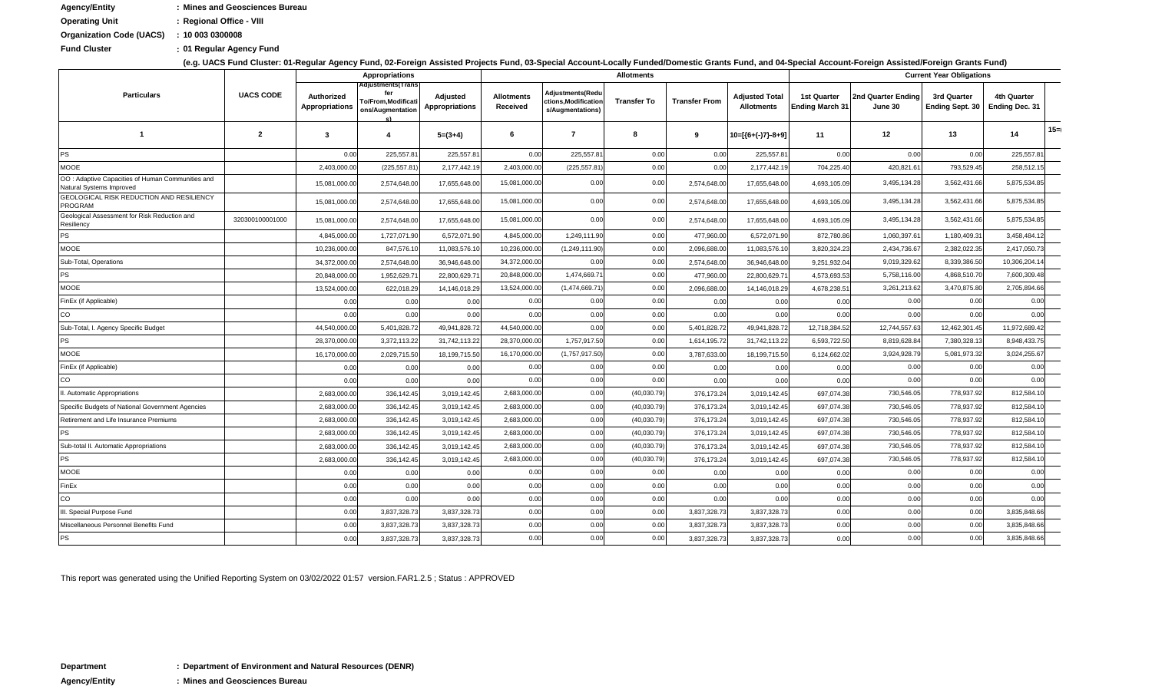| <b>Agency/Entity</b>            | : Mines and Geosciences Bureau |
|---------------------------------|--------------------------------|
| <b>Operating Unit</b>           | : Regional Office - VIII       |
| <b>Organization Code (UACS)</b> | : 100030300008                 |
| <b>Fund Cluster</b>             | : 01 Regular Agency Fund       |

**(e.g. UACS Fund Cluster: 01-Regular Agency Fund, 02-Foreign Assisted Projects Fund, 03-Special Account-Locally Funded/Domestic Grants Fund, and 04-Special Account-Foreign Assisted/Foreign Grants Fund)**

|                                                                              |                  |                                     | <b>Appropriations</b>                                                     |                            |                               |                                                             | <b>Allotments</b>  |                      |                                     |                                       |                               | <b>Current Year Obligations</b>       |                                      |     |
|------------------------------------------------------------------------------|------------------|-------------------------------------|---------------------------------------------------------------------------|----------------------------|-------------------------------|-------------------------------------------------------------|--------------------|----------------------|-------------------------------------|---------------------------------------|-------------------------------|---------------------------------------|--------------------------------------|-----|
| <b>Particulars</b>                                                           | <b>UACS CODE</b> | Authorized<br><b>Appropriations</b> | <b>Adjustments(Trans</b><br><b>Fo/From,Modificati</b><br>ons/Augmentation | Adjusted<br>Appropriations | <b>Allotments</b><br>Received | Adjustments(Redu<br>ctions,Modification<br>s/Augmentations) | <b>Transfer To</b> | <b>Transfer From</b> | Adjusted Total<br><b>Allotments</b> | 1st Quarter<br><b>Ending March 31</b> | 2nd Quarter Ending<br>June 30 | 3rd Quarter<br><b>Ending Sept. 30</b> | 4th Quarter<br><b>Ending Dec. 31</b> |     |
| $\mathbf 1$                                                                  | $\mathbf{2}$     | 3                                   | -4                                                                        | $5=(3+4)$                  | 6                             | 7                                                           | 8                  | 9                    | 10=[{6+(-)7}-8+9]                   | 11                                    | 12                            | 13                                    | 14                                   | 15= |
| <b>PS</b>                                                                    |                  | 0.00                                | 225,557.81                                                                | 225,557.8                  | 0.00                          | 225,557.81                                                  | 0.00               | 0.00                 | 225,557.8                           | 0.00                                  | 0.00                          | 0.00                                  | 225,557.81                           |     |
| <b>MOOE</b>                                                                  |                  | 2,403,000.0                         | (225, 557.81)                                                             | 2,177,442.1                | 2,403,000.00                  | (225, 557.81)                                               | 0.00               | 0.00                 | 2,177,442.1                         | 704,225.40                            | 420,821.61                    | 793,529.45                            | 258,512.15                           |     |
| OO: Adaptive Capacities of Human Communities and<br>Natural Systems Improved |                  | 15,081,000.0                        | 2,574,648.00                                                              | 17,655,648.00              | 15,081,000.00                 | 0.00                                                        | 0.00               | 2,574,648.00         | 17,655,648.00                       | 4,693,105.09                          | 3,495,134.28                  | 3,562,431.66                          | 5,875,534.85                         |     |
| <b>GEOLOGICAL RISK REDUCTION AND RESILIENCY</b><br><b>PROGRAM</b>            |                  | 15,081,000.0                        | 2,574,648.00                                                              | 17,655,648.00              | 15,081,000.00                 | 0.00                                                        | 0.00               | 2,574,648.00         | 17,655,648.00                       | 4,693,105.09                          | 3,495,134.28                  | 3,562,431.66                          | 5,875,534.85                         |     |
| Geological Assessment for Risk Reduction and<br>Resiliency                   | 320300100001000  | 15,081,000.00                       | 2,574,648.00                                                              | 17,655,648.00              | 15,081,000.00                 | 0.00                                                        | 0.00               | 2,574,648.00         | 17,655,648.00                       | 4,693,105.09                          | 3,495,134.28                  | 3,562,431.66                          | 5,875,534.85                         |     |
| <b>PS</b>                                                                    |                  | 4,845,000.0                         | 1,727,071.90                                                              | 6,572,071.9                | 4,845,000.00                  | 1,249,111.90                                                | 0.00               | 477,960.00           | 6,572,071.90                        | 872,780.86                            | 1,060,397.61                  | 1,180,409.3                           | 3,458,484.12                         |     |
| <b>MOOE</b>                                                                  |                  | 10,236,000.0                        | 847,576.1                                                                 | 11,083,576.1               | 10,236,000.0                  | (1,249,111.90)                                              | 0.00               | 2,096,688.00         | 11,083,576.1                        | 3,820,324.2                           | 2,434,736.67                  | 2,382,022.3                           | 2,417,050.73                         |     |
| Sub-Total, Operations                                                        |                  | 34,372,000.0                        | 2,574,648.00                                                              | 36,946,648.0               | 34,372,000.00                 | 0.00                                                        | 0.00               | 2,574,648.00         | 36,946,648.00                       | 9,251,932.0                           | 9,019,329.62                  | 8,339,386.50                          | 10,306,204.14                        |     |
| PS                                                                           |                  | 20,848,000.0                        | 1,952,629.7                                                               | 22,800,629.7               | 20,848,000.00                 | 1,474,669.71                                                | 0.00               | 477,960.00           | 22,800,629.7                        | 4,573,693.5                           | 5,758,116.00                  | 4,868,510.7                           | 7,600,309.48                         |     |
| MOOE                                                                         |                  | 13,524,000.0                        | 622,018.29                                                                | 14,146,018.2               | 13,524,000.0                  | (1,474,669.71)                                              | 0.00               | 2,096,688.00         | 14,146,018.29                       | 4,678,238.5                           | 3,261,213.62                  | 3,470,875.80                          | 2,705,894.66                         |     |
| FinEx (if Applicable)                                                        |                  | 0.00                                | 0.00                                                                      | 0.00                       | 0.00                          | 0.00                                                        | 0.00               | 0.00                 | 0.00                                | 0.00                                  | 0.00                          | 0.00                                  | 0.00                                 |     |
| $\overline{c}$                                                               |                  | 0.00                                | 0.00                                                                      | 0.00                       | 0.00                          | 0.00                                                        | 0.00               | 0.00                 | 0.00                                | 0.00                                  | 0.00                          | 0.00                                  | 0.00                                 |     |
| Sub-Total, I. Agency Specific Budget                                         |                  | 44,540,000.0                        | 5,401,828.72                                                              | 49,941,828.72              | 44,540,000.00                 | 0.00                                                        | 0.00               | 5,401,828.72         | 49,941,828.72                       | 12,718,384.52                         | 12,744,557.63                 | 12,462,301.45                         | 11,972,689.42                        |     |
| <b>PS</b>                                                                    |                  | 28,370,000.0                        | 3,372,113.22                                                              | 31,742,113.2               | 28,370,000.00                 | 1,757,917.50                                                | 0.00               | 1,614,195.72         | 31,742,113.22                       | 6,593,722.5                           | 8,819,628.84                  | 7,380,328.1                           | 8,948,433.75                         |     |
| <b>MOOE</b>                                                                  |                  | 16,170,000.0                        | 2,029,715.50                                                              | 18, 199, 715.50            | 16,170,000.00                 | (1,757,917.50)                                              | 0.00               | 3,787,633.00         | 18,199,715.50                       | 6,124,662.02                          | 3,924,928.79                  | 5,081,973.32                          | 3,024,255.67                         |     |
| FinEx (if Applicable)                                                        |                  | 0.00                                | 0.00                                                                      | 0.00                       | 0.00                          | 0.00                                                        | 0.00               | 0.00                 | 0.00                                | 0.00                                  | 0.00                          | 0.00                                  | 0.00                                 |     |
| $\overline{c}$                                                               |                  | 0.00                                | 0.00                                                                      | 0.00                       | 0.00                          | 0.00                                                        | 0.00               | 0.00                 | 0.00                                | 0.00                                  | 0.00                          | 0.00                                  | 0.00                                 |     |
| II. Automatic Appropriations                                                 |                  | 2,683,000.00                        | 336,142.45                                                                | 3,019,142.45               | 2,683,000.00                  | 0.00                                                        | (40,030.79)        | 376,173.24           | 3,019,142.45                        | 697,074.38                            | 730,546.05                    | 778,937.92                            | 812,584.10                           |     |
| Specific Budgets of National Government Agencies                             |                  | 2,683,000.0                         | 336,142.45                                                                | 3,019,142.45               | 2,683,000.00                  | 0.00                                                        | (40,030.79)        | 376,173.24           | 3,019,142.45                        | 697,074.38                            | 730,546.05                    | 778,937.92                            | 812,584.10                           |     |
| Retirement and Life Insurance Premiums                                       |                  | 2,683,000.0                         | 336,142.45                                                                | 3,019,142.45               | 2,683,000.00                  | 0.00                                                        | (40,030.79)        | 376,173.24           | 3,019,142.45                        | 697,074.38                            | 730,546.05                    | 778,937.92                            | 812,584.10                           |     |
| PS                                                                           |                  | 2,683,000.0                         | 336,142.45                                                                | 3,019,142.45               | 2,683,000.00                  | 0.00                                                        | (40,030.79)        | 376,173.24           | 3,019,142.45                        | 697,074.38                            | 730,546.05                    | 778,937.92                            | 812,584.10                           |     |
| Sub-total II. Automatic Appropriations                                       |                  | 2,683,000.0                         | 336,142.45                                                                | 3,019,142.45               | 2,683,000.00                  | 0.00                                                        | (40,030.79)        | 376,173.24           | 3,019,142.45                        | 697,074.38                            | 730,546.05                    | 778,937.92                            | 812,584.10                           |     |
| PS                                                                           |                  | 2,683,000.0                         | 336,142.45                                                                | 3,019,142.45               | 2,683,000.00                  | 0.00                                                        | (40,030.79)        | 376,173.24           | 3,019,142.45                        | 697,074.38                            | 730,546.05                    | 778,937.92                            | 812,584.10                           |     |
| MOOE                                                                         |                  | 0.00                                | 0.00                                                                      | 0.00                       | 0.00                          | 0.00                                                        | 0.00               | 0.00                 | 0.00                                | 0.00                                  | 0.00                          | 0.00                                  | 0.00                                 |     |
| FinEx                                                                        |                  | 0.00                                | 0.00                                                                      | 0.00                       | 0.00                          | 0.00                                                        | 0.00               | 0.00                 | 0.00                                | 0.00                                  | 0.00                          | 0.00                                  | 0.00                                 |     |
| $\rm{CO}$                                                                    |                  | 0.00                                | 0.00                                                                      | 0.00                       | 0.00                          | 0.00                                                        | 0.00               | 0.00                 | 0.00                                | 0.00                                  | 0.00                          | 0.00                                  | 0.00                                 |     |
| III. Special Purpose Fund                                                    |                  | 0.00                                | 3,837,328.73                                                              | 3,837,328.7                | 0.00                          | 0.00                                                        | 0.00               | 3,837,328.73         | 3,837,328.73                        | 0.00                                  | 0.00                          | 0.00                                  | 3,835,848.66                         |     |
| Miscellaneous Personnel Benefits Fund                                        |                  | 0.00                                | 3,837,328.73                                                              | 3,837,328.7                | 0.00                          | 0.00                                                        | 0.00               | 3,837,328.73         | 3,837,328.7                         | 0.00                                  | 0.00                          | 0.00                                  | 3,835,848.66                         |     |
| <b>PS</b>                                                                    |                  | 0.00                                | 3,837,328.73                                                              | 3,837,328.73               | 0.00                          | 0.00                                                        | 0.00               | 3,837,328.73         | 3,837,328.73                        | 0.00                                  | 0.00                          | 0.00                                  | 3,835,848.66                         |     |

This report was generated using the Unified Reporting System on 03/02/2022 01:57 version.FAR1.2.5 ; Status : APPROVED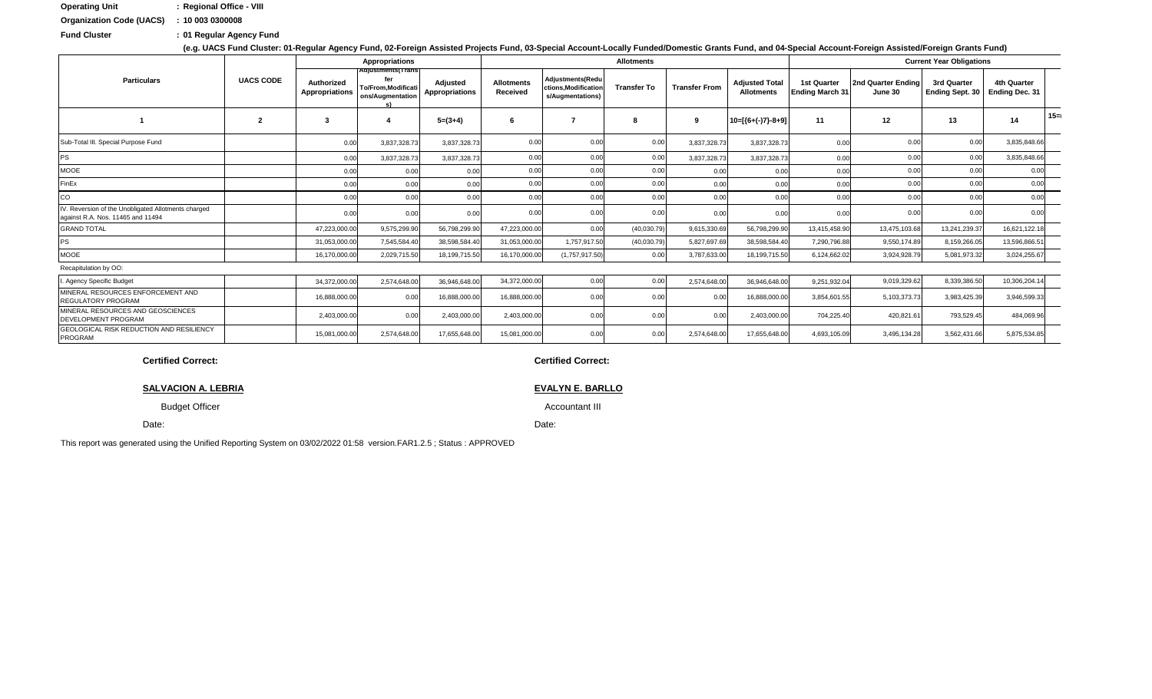| <b>Operating Unit</b>           | : Regional Office - VIII |
|---------------------------------|--------------------------|
| <b>Organization Code (UACS)</b> | : 100030300008           |

: 01 Regular Agency Fund **Fund Cluster** 

|                                                                                          |                  |                                     | Appropriations                                                             |                            |                               |                                                                    | <b>Allotments</b>  |                      |                                            |                                              |                               | <b>Current Year Obligations</b>       |                                             |        |
|------------------------------------------------------------------------------------------|------------------|-------------------------------------|----------------------------------------------------------------------------|----------------------------|-------------------------------|--------------------------------------------------------------------|--------------------|----------------------|--------------------------------------------|----------------------------------------------|-------------------------------|---------------------------------------|---------------------------------------------|--------|
| <b>Particulars</b>                                                                       | <b>UACS CODE</b> | Authorized<br><b>Appropriations</b> | Adjustments(Trans<br>fer<br><b>To/From, Modificati</b><br>ons/Augmentation | Adjusted<br>Appropriations | <b>Allotments</b><br>Received | <b>Adjustments(Redu</b><br>ctions.Modification<br>s/Augmentations) | <b>Transfer To</b> | <b>Transfer From</b> | <b>Adjusted Total</b><br><b>Allotments</b> | <b>1st Quarter</b><br><b>Ending March 31</b> | 2nd Quarter Ending<br>June 30 | 3rd Quarter<br><b>Ending Sept. 30</b> | <b>4th Quarter</b><br><b>Ending Dec. 31</b> |        |
|                                                                                          | $\overline{2}$   | -3                                  |                                                                            | $5=(3+4)$                  | 6                             |                                                                    |                    | 9                    | $10=[(6+(-)7)-8+9]$                        | 11                                           | 12                            | 13                                    | 14                                          | $15 =$ |
| Sub-Total III. Special Purpose Fund                                                      |                  | 0.00                                | 3,837,328.73                                                               | 3,837,328.73               | 0.00                          | 0.00                                                               | 0.00               | 3,837,328.73         | 3,837,328.73                               | 0.00                                         | 0.00                          | 0.00                                  | 3,835,848.66                                |        |
| <b>PS</b>                                                                                |                  | 0.00                                | 3,837,328.73                                                               | 3,837,328.7                | 0.00                          | 0.00                                                               | 0.00               | 3,837,328.73         | 3,837,328.7                                | 0.00                                         | 0.00                          | 0.00                                  | 3,835,848.66                                |        |
| <b>MOOE</b>                                                                              |                  | 0.00                                | 0.00                                                                       | 0.00                       | 0.00                          | 0.00                                                               | 0.00               | 0.00                 | 0.00                                       | 0.00                                         | 0.00                          | 0.00                                  | 0.00                                        |        |
| FinEx                                                                                    |                  | 0.00                                | 0.00                                                                       | 0.00                       | 0.00                          | 0.00                                                               | 0.00               | 0.00                 | 0.00                                       | 0.00                                         | 0.00                          | 0.00                                  | 0.00                                        |        |
| CO                                                                                       |                  | 0.00                                | 0.00                                                                       | 0.00                       | 0.00                          | 0.00                                                               | 0.00               | 0.00                 | 0.00                                       | 0.00                                         | 0.00                          | 0.00                                  | 0.00                                        |        |
| IV. Reversion of the Unobligated Allotments charged<br>against R.A. Nos. 11465 and 11494 |                  | 0.00                                | 0.00                                                                       | 0.00                       | 0.00                          | 0.00                                                               | 0.00               | 0.00                 | 0.00                                       | 0.00                                         | 0.00                          | 0.00                                  | 0.00                                        |        |
| <b>GRAND TOTAL</b>                                                                       |                  | 47,223,000.00                       | 9,575,299.9                                                                | 56,798,299.90              | 47,223,000.0                  | 0.00                                                               | (40,030.79)        | 9,615,330.69         | 56,798,299.90                              | 13,415,458.90                                | 13,475,103.68                 | 13,241,239.37                         | 16,621,122.18                               |        |
| <b>PS</b>                                                                                |                  | 31,053,000.0                        | 7,545,584.40                                                               | 38,598,584.40              | 31,053,000.0                  | 1,757,917.50                                                       | (40,030.79)        | 5,827,697.69         | 38,598,584.40                              | 7,290,796.88                                 | 9,550,174.89                  | 8,159,266.05                          | 13,596,866.5                                |        |
| <b>MOOE</b>                                                                              |                  | 16,170,000.00                       | 2,029,715.50                                                               | 18,199,715.50              | 16,170,000.0                  | (1,757,917.50)                                                     | 0.00               | 3,787,633.00         | 18,199,715.50                              | 6,124,662.02                                 | 3,924,928.79                  | 5,081,973.32                          | 3,024,255.67                                |        |
| Recapitulation by OO:                                                                    |                  |                                     |                                                                            |                            |                               |                                                                    |                    |                      |                                            |                                              |                               |                                       |                                             |        |
| . Agency Specific Budget                                                                 |                  | 34,372,000.00                       | 2,574,648.0                                                                | 36,946,648.00              | 34,372,000.0                  | 0.00                                                               | 0.00               | 2,574,648.00         | 36,946,648.00                              | 9,251,932.04                                 | 9,019,329.6                   | 8,339,386.50                          | 10,306,204.14                               |        |
| MINERAL RESOURCES ENFORCEMENT AND<br><b>REGULATORY PROGRAM</b>                           |                  | 16,888,000.00                       | 0.00                                                                       | 16,888,000.00              | 16,888,000.0                  | 0.00                                                               | 0.00               | 0.00                 | 16,888,000.00                              | 3,854,601.55                                 | 5,103,373.73                  | 3,983,425.39                          | 3,946,599.33                                |        |
| MINERAL RESOURCES AND GEOSCIENCES<br>DEVELOPMENT PROGRAM                                 |                  | 2,403,000.00                        | 0.00                                                                       | 2,403,000.00               | 2,403,000.00                  | 0.00                                                               | 0.00               | 0.00                 | 2,403,000.00                               | 704,225.40                                   | 420,821.61                    | 793,529.45                            | 484,069.96                                  |        |
| <b>GEOLOGICAL RISK REDUCTION AND RESILIENCY</b><br><b>PROGRAM</b>                        |                  | 15,081,000.00                       | 2,574,648.00                                                               | 17,655,648.00              | 15,081,000.0                  | 0.00                                                               | 0.00               | 2,574,648.00         | 17,655,648.00                              | 4,693,105.09                                 | 3,495,134.28                  | 3,562,431.66                          | 5,875,534.85                                |        |

**Certified Correct:** 

#### **SALVACION A. LEBRIA**

**Budget Officer** 

Date:

This report was generated using the Unified Reporting System on 03/02/2022 01:58 version.FAR1.2.5; Status: APPROVED

#### **Certified Correct:**

### **EVALYN E. BARLLO**

**Accountant III** 

Date:

### Account-Foreign Assisted/Foreign Grants Fund)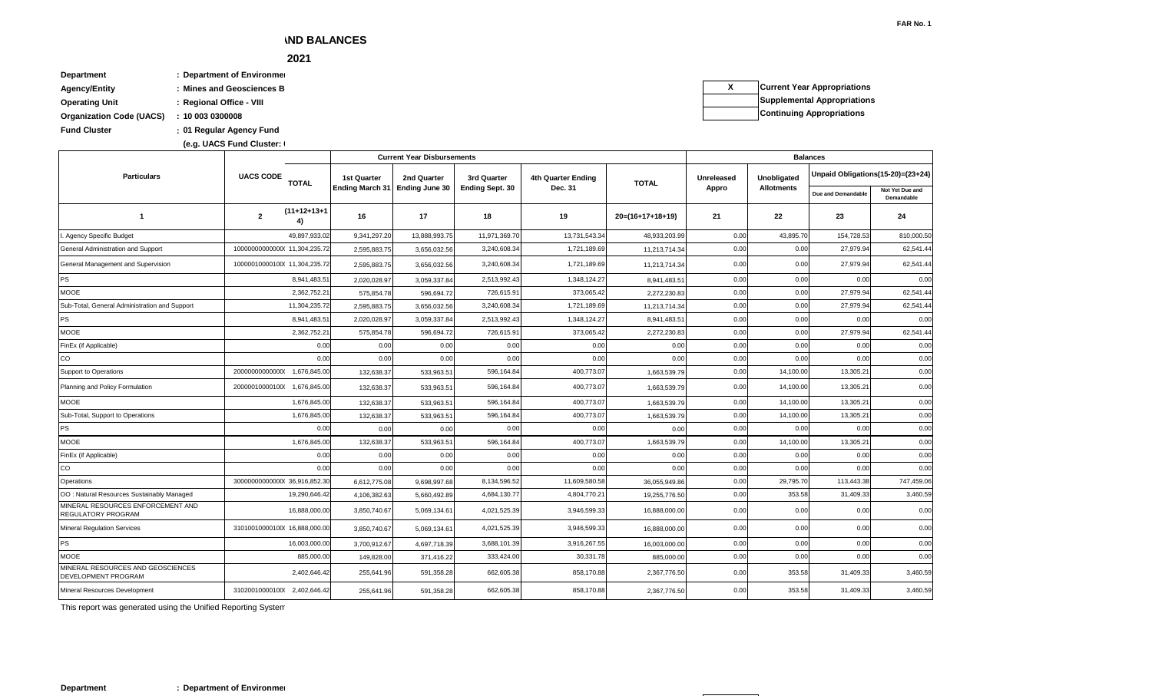This report was generated using the Unified Reporting System

### **Department : Department of Environment**

#### **As at the Quarter Ending December 31, 2021**  $\sim$   $2021$

**: Fund Cluster 01 Regular Agency Fund Department : Department of Environment** Agency/Entity **bidge in the state of the Mines and Geosciences B Operating Unit : Regional Office - VIII Organization Code (UACS) : 10 003 0300008**

**(e.g. UACS Fund Cluster: I) (e.g. UACS Fund Cluster: 01-Regular Agency Fund, 02-Foreign Assisted Projects Fund, 03-Special Account-Locally Funded/Domestic Grants Fund, and 04-Special Account-Foreign Assisted/Foreign Grants Fund)**

**X Current Year Appropriations Supplemental Appropriations Continuing Appropriations**

| $\cdot$ $\cdot$                                          |                               |                      |                        | <b>Current Year Disbursements</b> |                        |                    |                    |            |                   | <b>Balances</b>                   |                               |
|----------------------------------------------------------|-------------------------------|----------------------|------------------------|-----------------------------------|------------------------|--------------------|--------------------|------------|-------------------|-----------------------------------|-------------------------------|
| <b>Particulars</b>                                       | <b>UACS CODE</b>              | <b>TOTAL</b>         | <b>1st Quarter</b>     | 2nd Quarter                       | 3rd Quarter            | 4th Quarter Ending | <b>TOTAL</b>       | Unreleased | Unobligated       | Unpaid Obligations(15-20)=(23+24) |                               |
|                                                          |                               |                      | <b>Ending March 31</b> | <b>Ending June 30</b>             | <b>Ending Sept. 30</b> | Dec. 31            |                    | Appro      | <b>Allotments</b> | Due and Demandable                | Not Yet Due and<br>Demandable |
| $\overline{1}$                                           | $\overline{2}$                | $(11+12+13+1)$<br>4) | 16                     | 17                                | 18                     | 19                 | $20=(16+17+18+19)$ | 21         | $22\,$            | 23                                | 24                            |
| . Agency Specific Budget                                 |                               | 49,897,933.02        | 9,341,297.20           | 13,888,993.75                     | 11,971,369.70          | 13,731,543.34      | 48,933,203.99      | 0.00       | 43,895.70         | 154,728.53                        | 810,000.50                    |
| General Administration and Support                       | 100000000000000 11,304,235.72 |                      | 2,595,883.75           | 3,656,032.56                      | 3,240,608.34           | 1,721,189.69       | 11,213,714.34      | 0.00       | 0.00              | 27,979.94                         | 62,541.44                     |
| General Management and Supervision                       | 10000010000100(11,304,235.72  |                      | 2,595,883.75           | 3,656,032.56                      | 3,240,608.34           | 1,721,189.69       | 11,213,714.34      | 0.00       | 0.00              | 27,979.94                         | 62,541.44                     |
| PS                                                       |                               | 8,941,483.51         | 2,020,028.97           | 3,059,337.84                      | 2,513,992.43           | 1,348,124.27       | 8,941,483.5        | 0.00       | 0.00              | 0.00                              | 0.00                          |
| <b>MOOE</b>                                              |                               | 2,362,752.21         | 575,854.78             | 596,694.72                        | 726,615.91             | 373,065.42         | 2,272,230.83       | 0.00       | 0.00              | 27,979.94                         | 62,541.44                     |
| Sub-Total, General Administration and Support            |                               | 11,304,235.72        | 2,595,883.75           | 3,656,032.56                      | 3,240,608.34           | 1,721,189.69       | 11,213,714.34      | 0.00       | 0.00              | 27,979.94                         | 62,541.44                     |
| <b>PS</b>                                                |                               | 8,941,483.51         | 2,020,028.97           | 3,059,337.84                      | 2,513,992.43           | 1,348,124.27       | 8,941,483.51       | 0.00       | 0.00              | 0.00                              | 0.00                          |
| MOOE                                                     |                               | 2,362,752.21         | 575,854.78             | 596,694.72                        | 726,615.91             | 373,065.42         | 2,272,230.83       | 0.00       | 0.00              | 27,979.94                         | 62,541.44                     |
| FinEx (if Applicable)                                    |                               | 0.00                 | 0.00                   | 0.00                              | 0.00                   | 0.00               | 0.00               | 0.00       | 0.00              | 0.00                              | 0.00                          |
| CO                                                       |                               | 0.00                 | 0.00                   | 0.00                              | 0.00                   | 0.00               | 0.00               | 0.00       | 0.00              | 0.00                              | 0.00                          |
| Support to Operations                                    |                               |                      | 132,638.37             | 533,963.51                        | 596,164.84             | 400,773.07         | 1,663,539.79       | 0.00       | 14,100.00         | 13,305.21                         | 0.00                          |
| Planning and Policy Formulation                          | 20000010000100(1,676,845.00   |                      | 132,638.37             | 533,963.51                        | 596,164.84             | 400,773.07         | 1,663,539.79       | 0.00       | 14,100.00         | 13,305.21                         | 0.00                          |
| MOOE                                                     |                               | 1,676,845.00         | 132,638.37             | 533,963.51                        | 596,164.84             | 400,773.07         | 1,663,539.79       | 0.00       | 14,100.00         | 13,305.21                         | 0.00                          |
| Sub-Total, Support to Operations                         |                               | 1,676,845.00         | 132,638.37             | 533,963.51                        | 596,164.84             | 400,773.07         | 1,663,539.79       | 0.00       | 14,100.00         | 13,305.21                         | 0.00                          |
| <b>PS</b>                                                |                               | 0.00                 | 0.00                   | 0.00                              | 0.00                   | 0.00               | 0.00               | 0.00       | 0.00              | 0.00                              | 0.00                          |
| MOOE                                                     |                               | 1,676,845.00         | 132,638.37             | 533,963.51                        | 596,164.84             | 400,773.07         | 1,663,539.79       | 0.00       | 14,100.00         | 13,305.21                         | 0.00                          |
| FinEx (if Applicable)                                    |                               | 0.00                 | 0.00                   | 0.00                              | 0.00                   | 0.00               | 0.00               | 0.00       | 0.00              | 0.00                              | 0.00                          |
| CO                                                       |                               | 0.00                 | 0.00                   | 0.00                              | 0.00                   | 0.00               | 0.00               | 0.00       | 0.00              | 0.00                              | 0.00                          |
| Operations                                               | 300000000000000 36,916,852.30 |                      | 6,612,775.08           | 9,698,997.68                      | 8,134,596.52           | 11,609,580.58      | 36,055,949.86      | 0.00       | 29,795.70         | 113,443.38                        | 747,459.06                    |
| OO: Natural Resources Sustainably Managed                |                               | 19,290,646.42        | 4,106,382.63           | 5,660,492.89                      | 4,684,130.77           | 4,804,770.21       | 19,255,776.50      | 0.00       | 353.58            | 31,409.33                         | 3,460.59                      |
| MINERAL RESOURCES ENFORCEMENT AND<br>REGULATORY PROGRAM  |                               | 16,888,000.00        | 3,850,740.67           | 5,069,134.61                      | 4,021,525.39           | 3,946,599.33       | 16,888,000.00      | 0.00       | 0.00              | 0.00                              | 0.00                          |
| <b>Mineral Regulation Services</b>                       | 31010010000100(16,888,000.00  |                      | 3,850,740.67           | 5,069,134.61                      | 4,021,525.39           | 3,946,599.33       | 16,888,000.00      | 0.00       | 0.00              | 0.00                              | 0.00                          |
| PS                                                       |                               | 16,003,000.00        | 3,700,912.67           | 4,697,718.39                      | 3,688,101.39           | 3,916,267.55       | 16,003,000.00      | 0.00       | 0.00              | 0.00                              | 0.00                          |
| <b>MOOE</b>                                              |                               | 885,000.00           | 149,828.00             | 371,416.22                        | 333,424.00             | 30,331.78          | 885,000.00         | 0.00       | 0.00              | 0.00                              | 0.00                          |
| MINERAL RESOURCES AND GEOSCIENCES<br>DEVELOPMENT PROGRAM |                               | 2,402,646.42         | 255,641.96             | 591,358.28                        | 662,605.38             | 858,170.88         | 2,367,776.50       | 0.00       | 353.58            | 31,409.33                         | 3,460.59                      |
| Mineral Resources Development                            | 31020010000100(2,402,646.42   |                      | 255,641.96             | 591,358.28                        | 662,605.38             | 858,170.88         | 2,367,776.50       | 0.00       | 353.58            | 31,409.33                         | 3,460.59                      |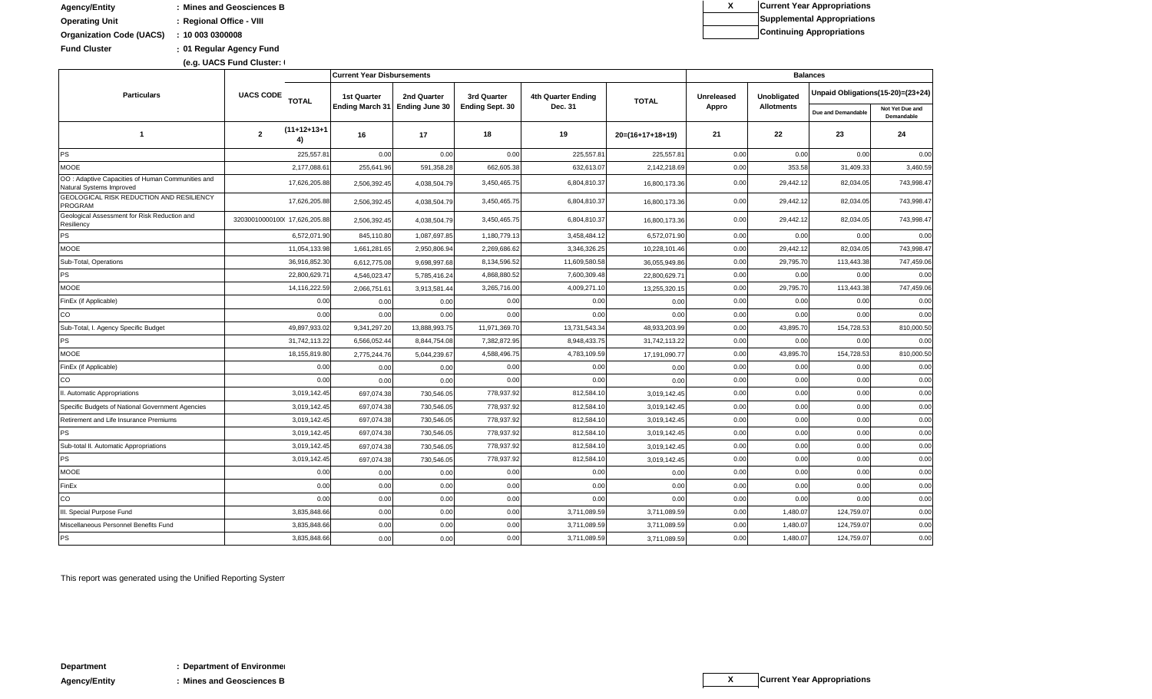**(e.g. UACS Fund Cluster: 01-Regular Agency Fund, 02-Foreign Assisted Projects Fund, 03-Special Account-Locally Funded/Domestic Grants Fund, and 04-Special Account-Foreign Assisted/Foreign Grants Fund)**

| <b>Agency/Entity</b>            | : Mines and Geosciences B |
|---------------------------------|---------------------------|
| <b>Operating Unit</b>           | : Regional Office - VIII  |
| <b>Organization Code (UACS)</b> | : 100030300008            |
| <b>Fund Cluster</b>             | : 01 Regular Agency Fund  |

| <b>Current Year Ap</b> |
|------------------------|
| Supplemental A         |
| <b>Continuing App</b>  |
|                        |

|                                                                              | (e.g. UACS Fund Cluster: I       |                                   |                                |                        |                    |                  |            |                   |                                   |                               |
|------------------------------------------------------------------------------|----------------------------------|-----------------------------------|--------------------------------|------------------------|--------------------|------------------|------------|-------------------|-----------------------------------|-------------------------------|
|                                                                              |                                  | <b>Current Year Disbursements</b> |                                |                        |                    |                  |            |                   | <b>Balances</b>                   |                               |
| <b>Particulars</b>                                                           | <b>UACS CODE</b><br><b>TOTAL</b> | 1st Quarter                       | 2nd Quarter                    | 3rd Quarter            | 4th Quarter Ending | <b>TOTAL</b>     | Unreleased | Unobligated       | Unpaid Obligations(15-20)=(23+24) |                               |
|                                                                              |                                  |                                   | Ending March 31 Ending June 30 | <b>Ending Sept. 30</b> | Dec. 31            |                  | Appro      | <b>Allotments</b> | Due and Demandable                | Not Yet Due and<br>Demandable |
|                                                                              | $(11+12+13+1)$<br>- 2            | 16                                | 17 <sup>2</sup>                | 18                     | 19                 | 20=(16+17+18+19) | 21         | 22                | 23                                | 24                            |
|                                                                              | 225,557.81                       | 0.00                              | 0.00                           | 0.00                   | 225,557.81         | 225,557.8        | 0.00       | 0.00              | 0.00                              | 0.00                          |
| <b>MOOE</b>                                                                  | 2,177,088.6                      | 255,641.9                         | 591,358.2                      | 662,605.3              | 632,613.07         | 2,142,218.6      | 0.00       | 353.58            | 31,409.33                         | 3,460.59                      |
| OO: Adaptive Capacities of Human Communities and<br>Natural Systems Improved | 17,626,205.8                     | 2,506,392.4                       | 4,038,504.7                    | 3,450,465.7            | 6,804,810.37       | 16,800,173.3     | 0.00       | 29,442.12         | 82,034.05                         | 743,998.47                    |
| GEOLOGICAL RISK REDUCTION AND RESILIENCY<br>PROGRAM                          | 17,626,205.8                     | 2,506,392.4                       | 4,038,504.79                   | 3,450,465.7            | 6,804,810.37       | 16,800,173.3     | 0.00       | 29,442.12         | 82,034.05                         | 743,998.47                    |
| Geological Assessment for Risk Reduction and<br>Resiliency                   | 32030010000100(17,626,205.8      | 2,506,392.45                      | 4,038,504.7                    | 3,450,465.7            | 6,804,810.37       | 16,800,173.36    | 0.00       | 29,442.12         | 82,034.05                         | 743,998.47                    |
|                                                                              | 6,572,071.9                      | 845,110.80                        | 1,087,697.8                    | 1,180,779.13           | 3,458,484.12       | 6,572,071.9      | 0.00       | 0.00              | 0.00                              | 0.00                          |
| MOOE                                                                         | 11,054,133.9                     | 1,661,281.6                       | 2,950,806.9                    | 2,269,686.6            | 3,346,326.25       | 10,228,101.4     | 0.00       | 29,442.12         | 82,034.05                         | 743,998.47                    |
| Sub-Total, Operations                                                        | 36,916,852.3                     | 6,612,775.0                       | 9,698,997.6                    | 8,134,596.52           | 11,609,580.58      | 36,055,949.8     | 0.00       | 29,795.70         | 113,443.38                        | 747,459.06                    |
|                                                                              | 22,800,629.7                     | 4,546,023.4                       | 5,785,416.2                    | 4,868,880.5            | 7,600,309.48       | 22,800,629.7     | 0.00       | 0.00              | 0.00                              | 0.00                          |
| MOOE                                                                         | 14,116,222.59                    | 2,066,751.6                       | 3,913,581.4                    | 3,265,716.00           | 4,009,271.10       | 13,255,320.1     | 0.00       | 29,795.70         | 113,443.38                        | 747,459.06                    |
| FinEx (if Applicable)                                                        | 0.00                             | 0.00                              | 0.00                           | 0.00                   | 0.00               | 0.00             | 0.00       | 0.00              | 0.00                              | 0.00                          |
|                                                                              | 0.00                             | 0.00                              | 0.00                           | 0.00                   | 0.00               | 0.00             | 0.00       | 0.00              | 0.00                              | 0.00                          |
| Sub-Total, I. Agency Specific Budget                                         | 49,897,933.0                     | 9,341,297.2                       | 13,888,993.7                   | 11,971,369.7           | 13,731,543.34      | 48,933,203.9     | 0.00       | 43,895.70         | 154,728.53                        | 810,000.50                    |
|                                                                              | 31,742,113.2                     | 6,566,052.44                      | 8,844,754.0                    | 7,382,872.95           | 8,948,433.75       | 31,742,113.2     | 0.00       | 0.00              | 0.00                              | 0.00                          |
| <b>MOOE</b>                                                                  | 18,155,819.8                     | 2,775,244.7                       | 5,044,239.67                   | 4,588,496.7            | 4,783,109.59       | 17,191,090.7     | 0.00       | 43,895.70         | 154,728.53                        | 810,000.50                    |
| FinEx (if Applicable)                                                        | 0.00                             | 0.00                              | 0.00                           | 0.00                   | 0.00               | 0.00             | 0.00       | 0.00              | 0.00                              | 0.00                          |
|                                                                              | 0.00                             | 0.00                              | 0.00                           | 0.00                   | 0.00               | 0.00             | 0.00       | 0.00              | 0.00                              | 0.00                          |
| I. Automatic Appropriations                                                  | 3,019,142.45                     | 697,074.38                        | 730,546.05                     | 778,937.92             | 812,584.10         | 3,019,142.4      | 0.00       | 0.00              | 0.00                              | 0.00                          |
| Specific Budgets of National Government Agencies                             | 3,019,142.45                     | 697,074.38                        | 730,546.05                     | 778,937.92             | 812,584.10         | 3,019,142.4      | 0.00       | 0.00              | 0.00                              | 0.00                          |
| Retirement and Life Insurance Premiums                                       | 3,019,142.4                      | 697,074.38                        | 730,546.05                     | 778,937.92             | 812,584.10         | 3,019,142.4      | 0.00       | 0.00              | 0.00                              | 0.00                          |
|                                                                              | 3,019,142.45                     | 697,074.38                        | 730,546.05                     | 778,937.92             | 812,584.10         | 3,019,142.4      | 0.00       | 0.00              | 0.00                              | 0.00                          |
| Sub-total II. Automatic Appropriations                                       | 3,019,142.4                      | 697,074.3                         | 730,546.05                     | 778,937.92             | 812,584.10         | 3,019,142.4      | 0.00       | 0.00              | 0.00                              | 0.00                          |
|                                                                              | 3,019,142.45                     | 697,074.38                        | 730,546.05                     | 778,937.92             | 812,584.1          | 3,019,142.4      | 0.00       | 0.00              | 0.00                              | 0.00                          |
| <b>MOOE</b>                                                                  | 0.00                             | 0.00                              | 0.00                           | 0.00                   | 0.00               | 0.00             | 0.00       | 0.00              | 0.00                              | 0.00                          |
| FinEx                                                                        | 0.00                             | 0.00                              | 0.00                           | 0.00                   | 0.00               | 0.00             | 0.00       | 0.00              | 0.00                              | 0.00                          |
| <b>ICO</b>                                                                   | 0.00                             | 0.00                              | 0.00                           | 0.00                   | 0.00               | 0.00             | 0.00       | 0.00              | 0.00                              | 0.00                          |
| III. Special Purpose Fund                                                    | 3,835,848.66                     | 0.00                              | 0.00                           | 0.00                   | 3,711,089.59       | 3,711,089.5      | 0.00       | 1,480.07          | 124,759.07                        | 0.00                          |
| Miscellaneous Personnel Benefits Fund                                        | 3,835,848.66                     | 0.00                              | 0.00                           | 0.00                   | 3,711,089.59       | 3,711,089.5      | 0.00       | 1,480.07          | 124,759.07                        | 0.00                          |
|                                                                              | 3,835,848.66                     | 0.00                              | 0.00                           | 0.00                   | 3,711,089.59       | 3,711,089.5      | 0.00       | 1,480.07          | 124,759.07                        | 0.00                          |

This report was generated using the Unified Reporting System

#### **Continuing Appropriations**

### **Appropriations Appropriations**